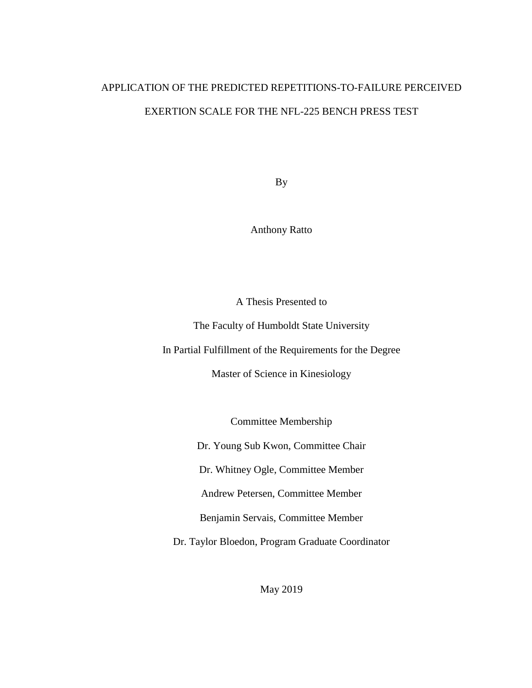# APPLICATION OF THE PREDICTED REPETITIONS-TO-FAILURE PERCEIVED EXERTION SCALE FOR THE NFL-225 BENCH PRESS TEST

By

Anthony Ratto

A Thesis Presented to

The Faculty of Humboldt State University

In Partial Fulfillment of the Requirements for the Degree

Master of Science in Kinesiology

Committee Membership

Dr. Young Sub Kwon, Committee Chair

Dr. Whitney Ogle, Committee Member

Andrew Petersen, Committee Member

Benjamin Servais, Committee Member

Dr. Taylor Bloedon, Program Graduate Coordinator

May 2019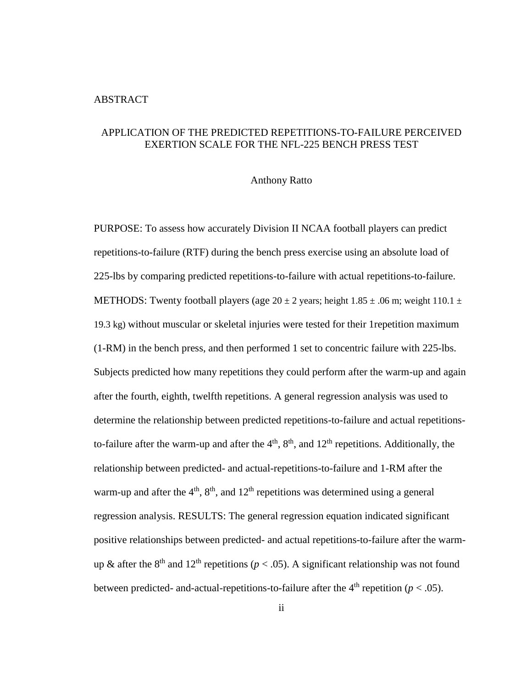## ABSTRACT

## APPLICATION OF THE PREDICTED REPETITIONS-TO-FAILURE PERCEIVED EXERTION SCALE FOR THE NFL-225 BENCH PRESS TEST

#### Anthony Ratto

PURPOSE: To assess how accurately Division II NCAA football players can predict repetitions-to-failure (RTF) during the bench press exercise using an absolute load of 225-lbs by comparing predicted repetitions-to-failure with actual repetitions-to-failure. METHODS: Twenty football players (age  $20 \pm 2$  years; height 1.85  $\pm$  .06 m; weight 110.1  $\pm$ 19.3 kg) without muscular or skeletal injuries were tested for their 1repetition maximum (1-RM) in the bench press, and then performed 1 set to concentric failure with 225-lbs. Subjects predicted how many repetitions they could perform after the warm-up and again after the fourth, eighth, twelfth repetitions. A general regression analysis was used to determine the relationship between predicted repetitions-to-failure and actual repetitionsto-failure after the warm-up and after the  $4<sup>th</sup>$ ,  $8<sup>th</sup>$ , and  $12<sup>th</sup>$  repetitions. Additionally, the relationship between predicted- and actual-repetitions-to-failure and 1-RM after the warm-up and after the  $4<sup>th</sup>$ ,  $8<sup>th</sup>$ , and  $12<sup>th</sup>$  repetitions was determined using a general regression analysis. RESULTS: The general regression equation indicated significant positive relationships between predicted- and actual repetitions-to-failure after the warmup & after the 8<sup>th</sup> and 12<sup>th</sup> repetitions ( $p < .05$ ). A significant relationship was not found between predicted- and-actual-repetitions-to-failure after the  $4<sup>th</sup>$  repetition ( $p < .05$ ).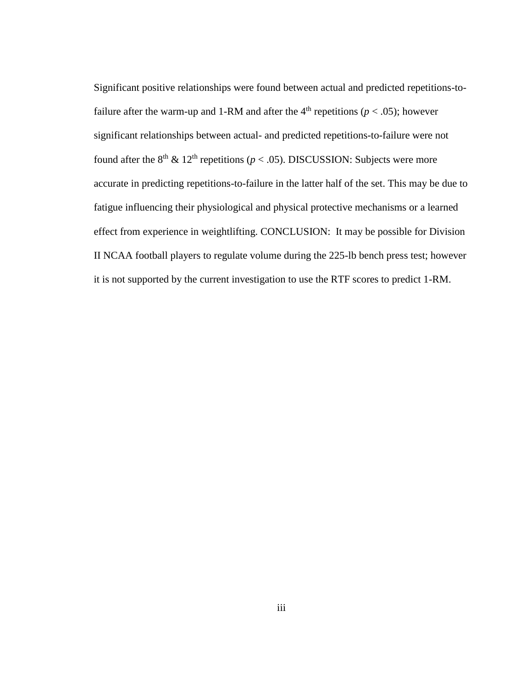Significant positive relationships were found between actual and predicted repetitions-tofailure after the warm-up and 1-RM and after the  $4<sup>th</sup>$  repetitions ( $p < .05$ ); however significant relationships between actual- and predicted repetitions-to-failure were not found after the  $8<sup>th</sup>$  &  $12<sup>th</sup>$  repetitions ( $p < .05$ ). DISCUSSION: Subjects were more accurate in predicting repetitions-to-failure in the latter half of the set. This may be due to fatigue influencing their physiological and physical protective mechanisms or a learned effect from experience in weightlifting. CONCLUSION: It may be possible for Division II NCAA football players to regulate volume during the 225-lb bench press test; however it is not supported by the current investigation to use the RTF scores to predict 1-RM.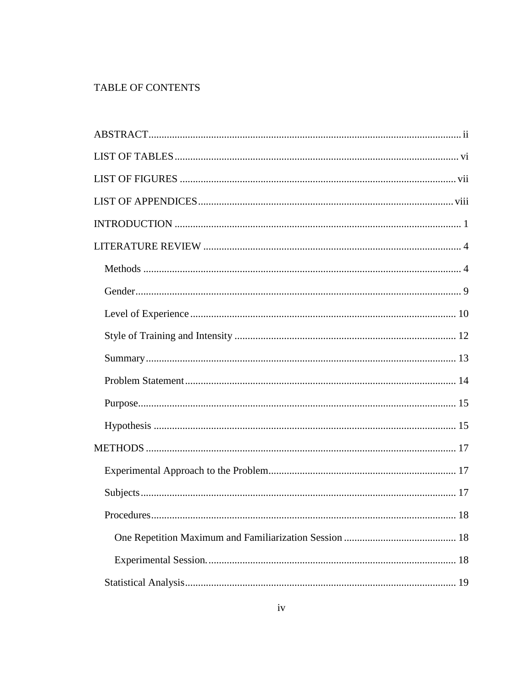## TABLE OF CONTENTS

| 18<br>Procedures |
|------------------|
|                  |
|                  |
|                  |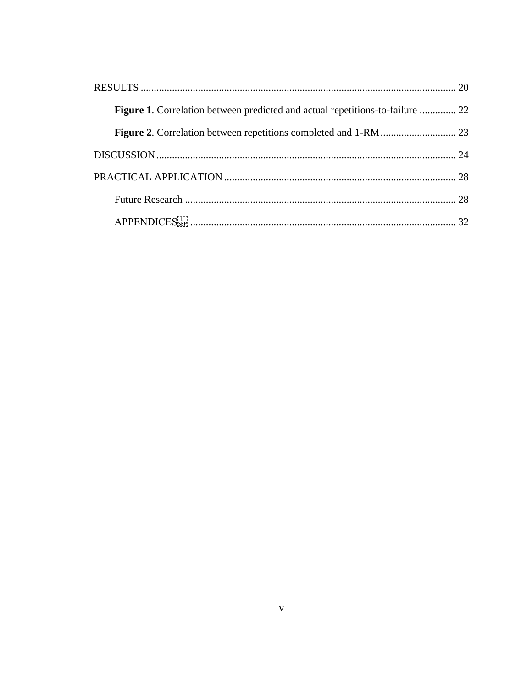| <b>Figure 1.</b> Correlation between predicted and actual repetitions-to-failure  22 |  |
|--------------------------------------------------------------------------------------|--|
|                                                                                      |  |
|                                                                                      |  |
|                                                                                      |  |
|                                                                                      |  |
|                                                                                      |  |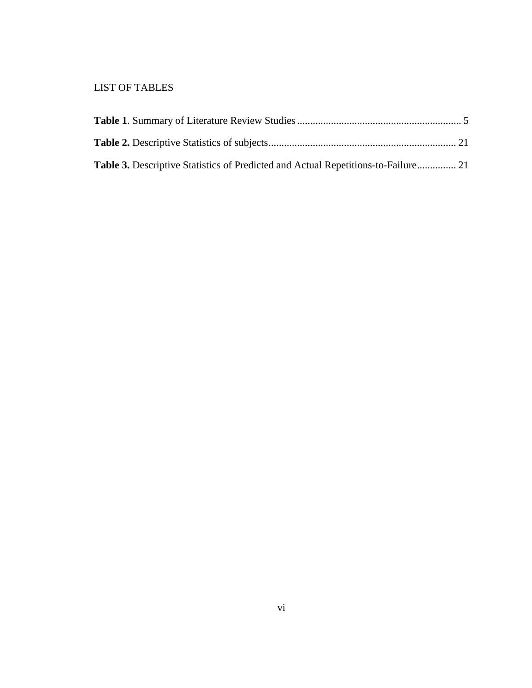## LIST OF TABLES

| <b>Table 3.</b> Descriptive Statistics of Predicted and Actual Repetitions-to-Failure 21 |  |
|------------------------------------------------------------------------------------------|--|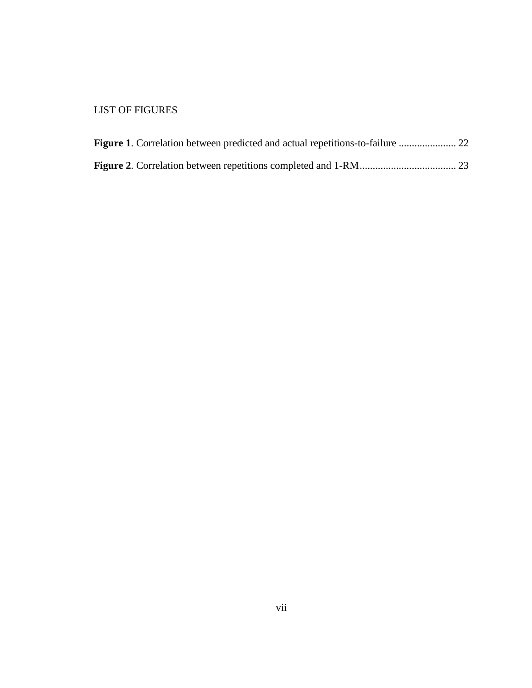## LIST OF FIGURES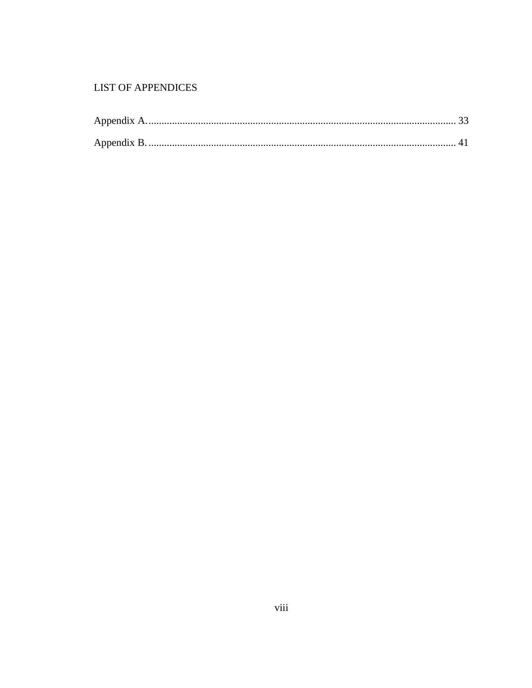## **LIST OF APPENDICES**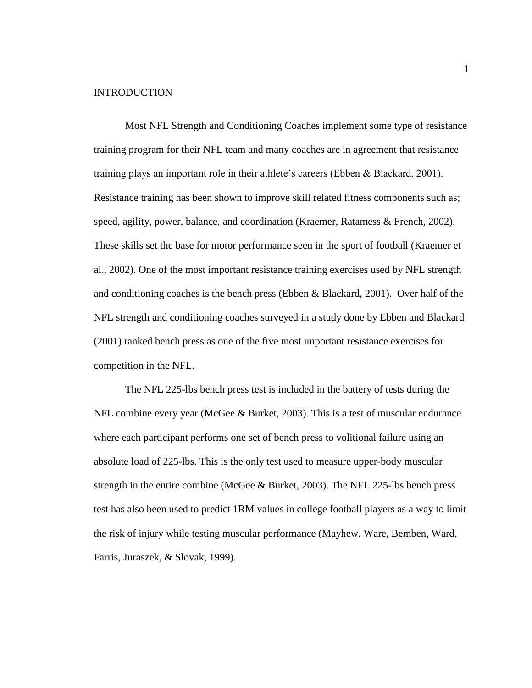## **INTRODUCTION**

Most NFL Strength and Conditioning Coaches implement some type of resistance training program for their NFL team and many coaches are in agreement that resistance training plays an important role in their athlete's careers (Ebben & Blackard, 2001). Resistance training has been shown to improve skill related fitness components such as; speed, agility, power, balance, and coordination (Kraemer, Ratamess & French, 2002). These skills set the base for motor performance seen in the sport of football (Kraemer et al., 2002). One of the most important resistance training exercises used by NFL strength and conditioning coaches is the bench press (Ebben & Blackard, 2001). Over half of the NFL strength and conditioning coaches surveyed in a study done by Ebben and Blackard (2001) ranked bench press as one of the five most important resistance exercises for competition in the NFL.

The NFL 225-lbs bench press test is included in the battery of tests during the NFL combine every year (McGee & Burket, 2003). This is a test of muscular endurance where each participant performs one set of bench press to volitional failure using an absolute load of 225-lbs. This is the only test used to measure upper-body muscular strength in the entire combine (McGee & Burket, 2003). The NFL 225-lbs bench press test has also been used to predict 1RM values in college football players as a way to limit the risk of injury while testing muscular performance (Mayhew, Ware, Bemben, Ward, Farris, Juraszek, & Slovak, 1999).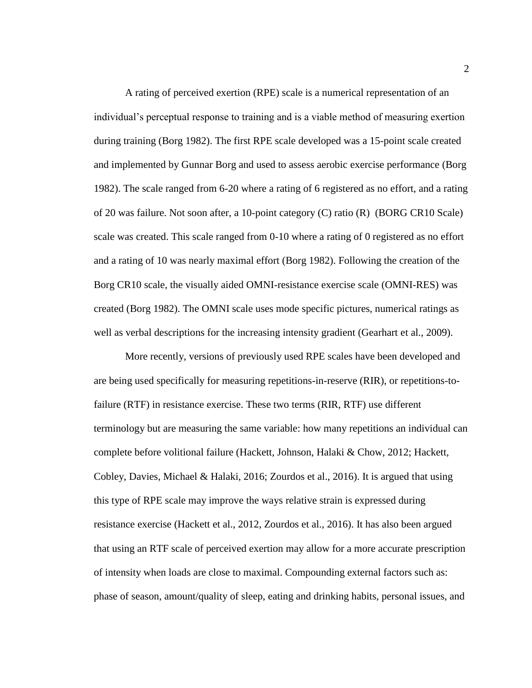A rating of perceived exertion (RPE) scale is a numerical representation of an individual's perceptual response to training and is a viable method of measuring exertion during training (Borg 1982). The first RPE scale developed was a 15-point scale created and implemented by Gunnar Borg and used to assess aerobic exercise performance (Borg 1982). The scale ranged from 6-20 where a rating of 6 registered as no effort, and a rating of 20 was failure. Not soon after, a 10-point category (C) ratio (R) (BORG CR10 Scale) scale was created. This scale ranged from 0-10 where a rating of 0 registered as no effort and a rating of 10 was nearly maximal effort (Borg 1982). Following the creation of the Borg CR10 scale, the visually aided OMNI-resistance exercise scale (OMNI-RES) was created (Borg 1982). The OMNI scale uses mode specific pictures, numerical ratings as well as verbal descriptions for the increasing intensity gradient (Gearhart et al., 2009).

More recently, versions of previously used RPE scales have been developed and are being used specifically for measuring repetitions-in-reserve (RIR), or repetitions-tofailure (RTF) in resistance exercise. These two terms (RIR, RTF) use different terminology but are measuring the same variable: how many repetitions an individual can complete before volitional failure (Hackett, Johnson, Halaki & Chow, 2012; Hackett, Cobley, Davies, Michael & Halaki, 2016; Zourdos et al., 2016). It is argued that using this type of RPE scale may improve the ways relative strain is expressed during resistance exercise (Hackett et al., 2012, Zourdos et al., 2016). It has also been argued that using an RTF scale of perceived exertion may allow for a more accurate prescription of intensity when loads are close to maximal. Compounding external factors such as: phase of season, amount/quality of sleep, eating and drinking habits, personal issues, and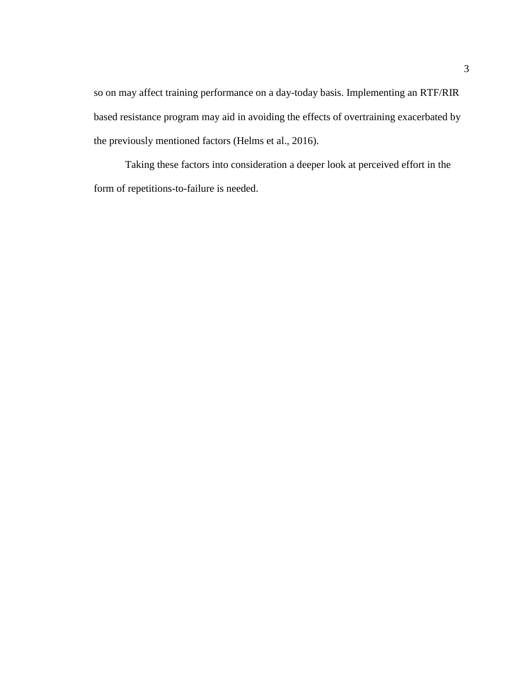so on may affect training performance on a day-today basis. Implementing an RTF/RIR based resistance program may aid in avoiding the effects of overtraining exacerbated by the previously mentioned factors (Helms et al., 2016).

Taking these factors into consideration a deeper look at perceived effort in the form of repetitions-to-failure is needed.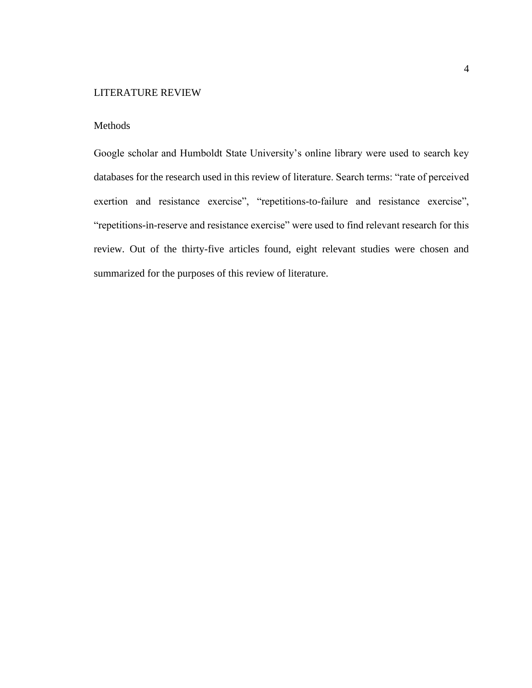## LITERATURE REVIEW

## Methods

Google scholar and Humboldt State University's online library were used to search key databases for the research used in this review of literature. Search terms: "rate of perceived exertion and resistance exercise", "repetitions-to-failure and resistance exercise", "repetitions-in-reserve and resistance exercise" were used to find relevant research for this review. Out of the thirty-five articles found, eight relevant studies were chosen and summarized for the purposes of this review of literature.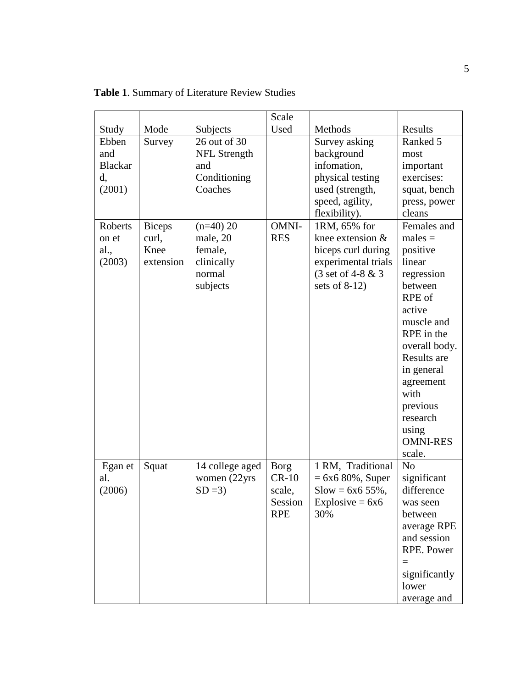|                |               |                     | Scale       |                     |                 |
|----------------|---------------|---------------------|-------------|---------------------|-----------------|
| Study          | Mode          | Subjects            | Used        | Methods             | Results         |
| Ebben          | Survey        | 26 out of 30        |             | Survey asking       | Ranked 5        |
| and            |               | <b>NFL Strength</b> |             | background          | most            |
| <b>Blackar</b> |               | and                 |             | infomation,         | important       |
| d,             |               | Conditioning        |             | physical testing    | exercises:      |
| (2001)         |               | Coaches             |             | used (strength,     | squat, bench    |
|                |               |                     |             | speed, agility,     | press, power    |
|                |               |                     |             | flexibility).       | cleans          |
| Roberts        | <b>Biceps</b> | $(n=40)$ 20         | OMNI-       | 1RM, 65% for        | Females and     |
| on et          | curl,         | male, 20            | <b>RES</b>  | knee extension &    | $males =$       |
| al.,           | Knee          | female,             |             | biceps curl during  | positive        |
| (2003)         | extension     | clinically          |             | experimental trials | linear          |
|                |               | normal              |             | (3 set of 4-8 & 3   | regression      |
|                |               | subjects            |             | sets of $8-12$ )    | between         |
|                |               |                     |             |                     | RPE of          |
|                |               |                     |             |                     | active          |
|                |               |                     |             |                     | muscle and      |
|                |               |                     |             |                     | RPE in the      |
|                |               |                     |             |                     | overall body.   |
|                |               |                     |             |                     | Results are     |
|                |               |                     |             |                     | in general      |
|                |               |                     |             |                     | agreement       |
|                |               |                     |             |                     | with            |
|                |               |                     |             |                     | previous        |
|                |               |                     |             |                     | research        |
|                |               |                     |             |                     | using           |
|                |               |                     |             |                     | <b>OMNI-RES</b> |
|                |               |                     |             |                     | scale.          |
| Egan et        | Squat         | 14 college aged     | <b>Borg</b> | 1 RM, Traditional   | N <sub>o</sub>  |
| al.            |               | women (22yrs        | $CR-10$     | $= 6x6 80\%,$ Super | significant     |
| (2006)         |               | $SD = 3$            | scale,      | $S$ low = 6x6 55%,  | difference      |
|                |               |                     | Session     | Explosive = $6x6$   | was seen        |
|                |               |                     | <b>RPE</b>  | 30%                 | between         |
|                |               |                     |             |                     | average RPE     |
|                |               |                     |             |                     | and session     |
|                |               |                     |             |                     | RPE. Power      |
|                |               |                     |             |                     |                 |
|                |               |                     |             |                     | significantly   |
|                |               |                     |             |                     | lower           |
|                |               |                     |             |                     | average and     |

**Table 1**. Summary of Literature Review Studies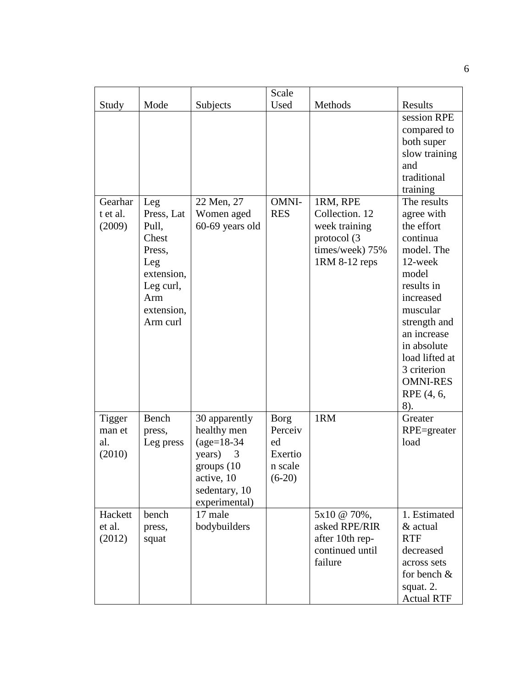|                  |                 |                 | Scale       |                                  |                               |
|------------------|-----------------|-----------------|-------------|----------------------------------|-------------------------------|
| Study            | Mode            | Subjects        | Used        | Methods                          | Results                       |
|                  |                 |                 |             |                                  | session RPE                   |
|                  |                 |                 |             |                                  | compared to                   |
|                  |                 |                 |             |                                  | both super                    |
|                  |                 |                 |             |                                  | slow training                 |
|                  |                 |                 |             |                                  | and<br>traditional            |
|                  |                 |                 |             |                                  | training                      |
| Gearhar          | Leg             | 22 Men, 27      | OMNI-       | 1RM, RPE                         | The results                   |
| t et al.         | Press, Lat      | Women aged      | <b>RES</b>  | Collection. 12                   | agree with                    |
| (2009)           | Pull,           | 60-69 years old |             | week training                    | the effort                    |
|                  | Chest           |                 |             | protocol (3                      | continua                      |
|                  | Press,<br>Leg   |                 |             | times/week) 75%<br>1RM 8-12 reps | model. The<br>12-week         |
|                  | extension,      |                 |             |                                  | model                         |
|                  | Leg curl,       |                 |             |                                  | results in                    |
|                  | Arm             |                 |             |                                  | increased                     |
|                  | extension,      |                 |             |                                  | muscular                      |
|                  | Arm curl        |                 |             |                                  | strength and                  |
|                  |                 |                 |             |                                  | an increase                   |
|                  |                 |                 |             |                                  | in absolute                   |
|                  |                 |                 |             |                                  | load lifted at                |
|                  |                 |                 |             |                                  | 3 criterion                   |
|                  |                 |                 |             |                                  | <b>OMNI-RES</b><br>RPE (4, 6, |
|                  |                 |                 |             |                                  | 8).                           |
| Tigger           | Bench           | 30 apparently   | <b>Borg</b> | 1RM                              | Greater                       |
| man et           | press,          | healthy men     | Perceiv     |                                  | RPE=greater                   |
| al.              | Leg press       | $(age=18-34)$   | ed          |                                  | load                          |
| (2010)           |                 | years)<br>3     | Exertio     |                                  |                               |
|                  |                 | groups (10)     | n scale     |                                  |                               |
|                  |                 | active, 10      | $(6-20)$    |                                  |                               |
|                  |                 | sedentary, 10   |             |                                  |                               |
|                  |                 | experimental)   |             |                                  |                               |
| Hackett          | bench           | 17 male         |             | 5x10 @ 70%,                      | 1. Estimated                  |
| et al.<br>(2012) | press,<br>squat | bodybuilders    |             | asked RPE/RIR<br>after 10th rep- | & actual<br><b>RTF</b>        |
|                  |                 |                 |             | continued until                  | decreased                     |
|                  |                 |                 |             | failure                          | across sets                   |
|                  |                 |                 |             |                                  | for bench $\&$                |
|                  |                 |                 |             |                                  | squat. 2.                     |
|                  |                 |                 |             |                                  | <b>Actual RTF</b>             |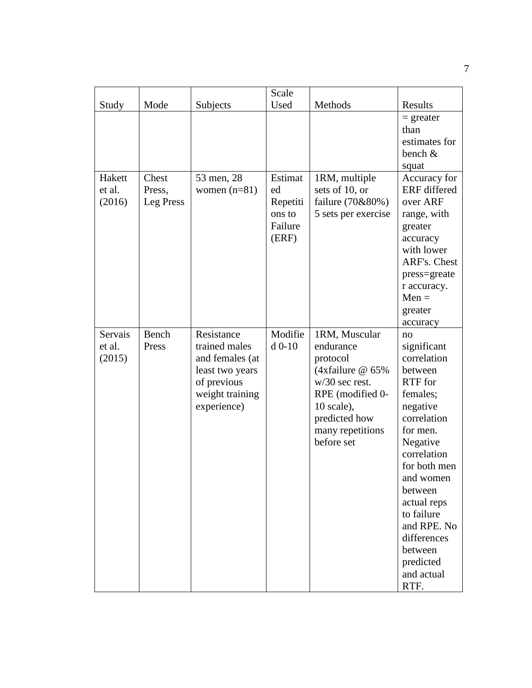|                             |                              |                                                                                                                    | Scale                                                   |                                                                                                                                                                       |                                                                                                                                                                                                                                                                                       |
|-----------------------------|------------------------------|--------------------------------------------------------------------------------------------------------------------|---------------------------------------------------------|-----------------------------------------------------------------------------------------------------------------------------------------------------------------------|---------------------------------------------------------------------------------------------------------------------------------------------------------------------------------------------------------------------------------------------------------------------------------------|
| Study                       | Mode                         | Subjects                                                                                                           | Used                                                    | Methods                                                                                                                                                               | Results                                                                                                                                                                                                                                                                               |
|                             |                              |                                                                                                                    |                                                         |                                                                                                                                                                       | $=$ greater<br>than<br>estimates for<br>bench $&$<br>squat                                                                                                                                                                                                                            |
| Hakett<br>et al.<br>(2016)  | Chest<br>Press,<br>Leg Press | 53 men, 28<br>women $(n=81)$                                                                                       | Estimat<br>ed<br>Repetiti<br>ons to<br>Failure<br>(ERF) | 1RM, multiple<br>sets of 10, or<br>failure (70&80%)<br>5 sets per exercise                                                                                            | Accuracy for<br><b>ERF</b> differed<br>over ARF<br>range, with<br>greater<br>accuracy<br>with lower<br>ARF's. Chest<br>press=greate<br>r accuracy.<br>$Men =$<br>greater<br>accuracy                                                                                                  |
| Servais<br>et al.<br>(2015) | Bench<br>Press               | Resistance<br>trained males<br>and females (at<br>least two years<br>of previous<br>weight training<br>experience) | Modifie<br>$d$ 0-10                                     | 1RM, Muscular<br>endurance<br>protocol<br>(4xfailure $@$ 65%<br>$w/30$ sec rest.<br>RPE (modified 0-<br>10 scale),<br>predicted how<br>many repetitions<br>before set | no<br>significant<br>correlation<br>between<br>RTF for<br>females;<br>negative<br>correlation<br>for men.<br>Negative<br>correlation<br>for both men<br>and women<br>between<br>actual reps<br>to failure<br>and RPE. No<br>differences<br>between<br>predicted<br>and actual<br>RTF. |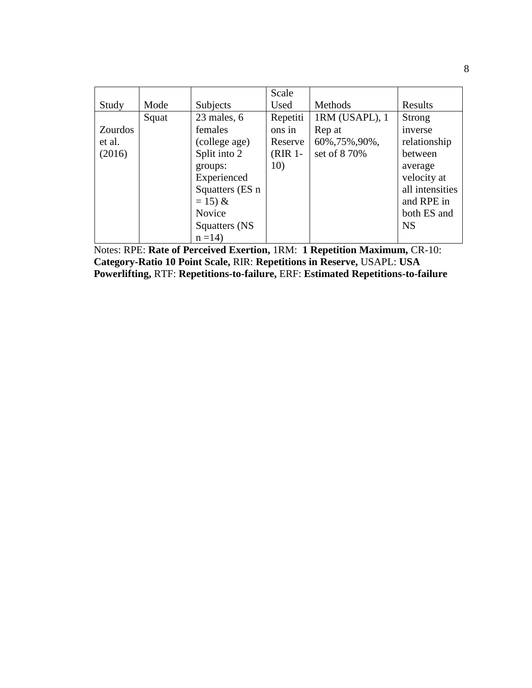|                |       |                 | Scale     |                |                 |
|----------------|-------|-----------------|-----------|----------------|-----------------|
| Study          | Mode  | Subjects        | Used      | Methods        | Results         |
|                | Squat | $23$ males, $6$ | Repetiti  | 1RM (USAPL), 1 | Strong          |
| <b>Zourdos</b> |       | females         | ons in    | Rep at         | inverse         |
| et al.         |       | (college age)   | Reserve   | 60%, 75%, 90%, | relationship    |
| (2016)         |       | Split into 2    | $(RIR1$ - | set of 8 70%   | between         |
|                |       | groups:         | 10)       |                | average         |
|                |       | Experienced     |           |                | velocity at     |
|                |       | Squatters (ES n |           |                | all intensities |
|                |       | $= 15 \&$       |           |                | and RPE in      |
|                |       | <b>Novice</b>   |           |                | both ES and     |
|                |       | Squatters (NS   |           |                | <b>NS</b>       |
|                |       | $n = 14$        |           |                |                 |

Notes: RPE: **Rate of Perceived Exertion,** 1RM: **1 Repetition Maximum,** CR-10: **Category-Ratio 10 Point Scale,** RIR: **Repetitions in Reserve,** USAPL: **USA Powerlifting,** RTF: **Repetitions-to-failure,** ERF: **Estimated Repetitions-to-failure**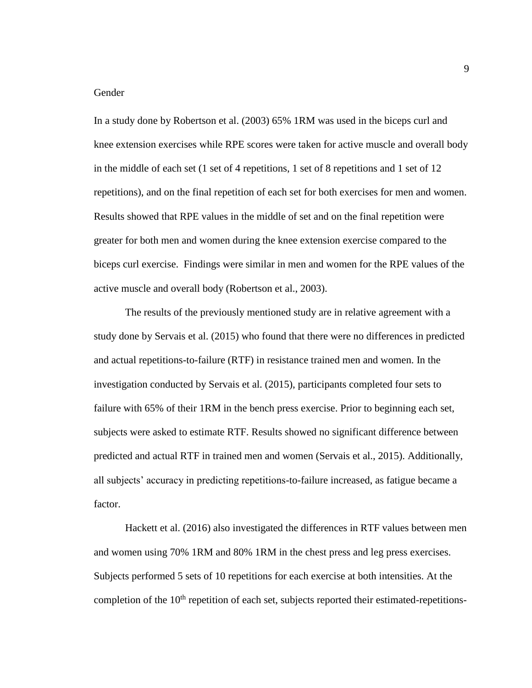## Gender

In a study done by Robertson et al. (2003) 65% 1RM was used in the biceps curl and knee extension exercises while RPE scores were taken for active muscle and overall body in the middle of each set (1 set of 4 repetitions, 1 set of 8 repetitions and 1 set of 12 repetitions), and on the final repetition of each set for both exercises for men and women. Results showed that RPE values in the middle of set and on the final repetition were greater for both men and women during the knee extension exercise compared to the biceps curl exercise. Findings were similar in men and women for the RPE values of the active muscle and overall body (Robertson et al., 2003).

The results of the previously mentioned study are in relative agreement with a study done by Servais et al. (2015) who found that there were no differences in predicted and actual repetitions-to-failure (RTF) in resistance trained men and women. In the investigation conducted by Servais et al. (2015), participants completed four sets to failure with 65% of their 1RM in the bench press exercise. Prior to beginning each set, subjects were asked to estimate RTF. Results showed no significant difference between predicted and actual RTF in trained men and women (Servais et al., 2015). Additionally, all subjects' accuracy in predicting repetitions-to-failure increased, as fatigue became a factor.

Hackett et al. (2016) also investigated the differences in RTF values between men and women using 70% 1RM and 80% 1RM in the chest press and leg press exercises. Subjects performed 5 sets of 10 repetitions for each exercise at both intensities. At the completion of the  $10<sup>th</sup>$  repetition of each set, subjects reported their estimated-repetitions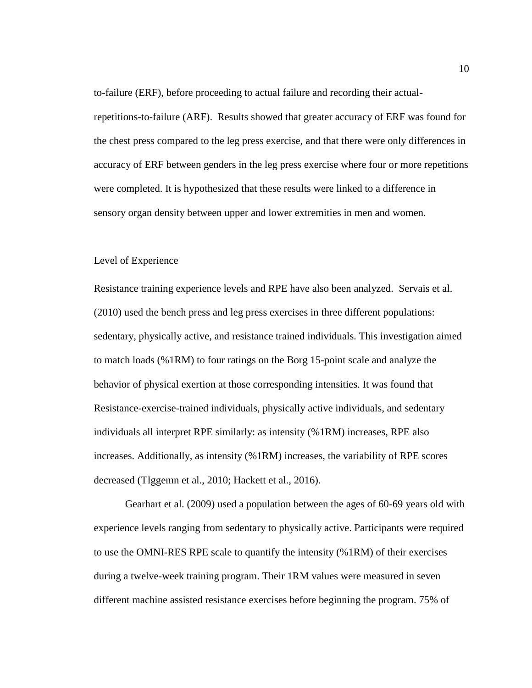to-failure (ERF), before proceeding to actual failure and recording their actualrepetitions-to-failure (ARF). Results showed that greater accuracy of ERF was found for the chest press compared to the leg press exercise, and that there were only differences in accuracy of ERF between genders in the leg press exercise where four or more repetitions were completed. It is hypothesized that these results were linked to a difference in sensory organ density between upper and lower extremities in men and women.

## Level of Experience

Resistance training experience levels and RPE have also been analyzed. Servais et al. (2010) used the bench press and leg press exercises in three different populations: sedentary, physically active, and resistance trained individuals. This investigation aimed to match loads (%1RM) to four ratings on the Borg 15-point scale and analyze the behavior of physical exertion at those corresponding intensities. It was found that Resistance-exercise-trained individuals, physically active individuals, and sedentary individuals all interpret RPE similarly: as intensity (%1RM) increases, RPE also increases. Additionally, as intensity (%1RM) increases, the variability of RPE scores decreased (TIggemn et al., 2010; Hackett et al., 2016).

Gearhart et al. (2009) used a population between the ages of 60-69 years old with experience levels ranging from sedentary to physically active. Participants were required to use the OMNI-RES RPE scale to quantify the intensity (%1RM) of their exercises during a twelve-week training program. Their 1RM values were measured in seven different machine assisted resistance exercises before beginning the program. 75% of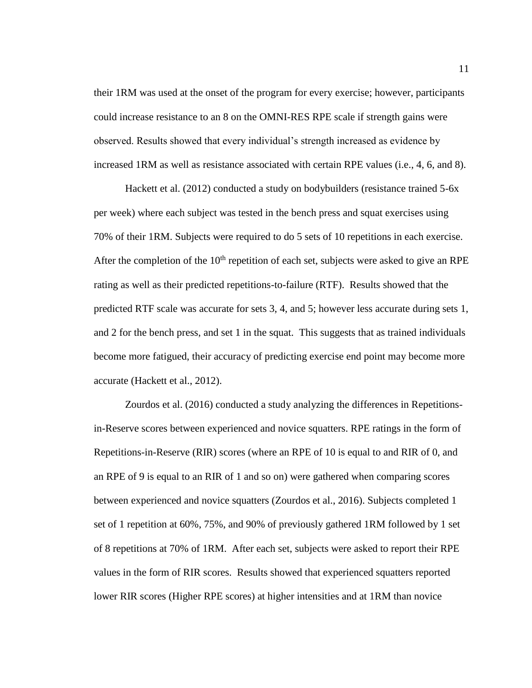their 1RM was used at the onset of the program for every exercise; however, participants could increase resistance to an 8 on the OMNI-RES RPE scale if strength gains were observed. Results showed that every individual's strength increased as evidence by increased 1RM as well as resistance associated with certain RPE values (i.e., 4, 6, and 8).

Hackett et al. (2012) conducted a study on bodybuilders (resistance trained 5-6x per week) where each subject was tested in the bench press and squat exercises using 70% of their 1RM. Subjects were required to do 5 sets of 10 repetitions in each exercise. After the completion of the  $10<sup>th</sup>$  repetition of each set, subjects were asked to give an RPE rating as well as their predicted repetitions-to-failure (RTF). Results showed that the predicted RTF scale was accurate for sets 3, 4, and 5; however less accurate during sets 1, and 2 for the bench press, and set 1 in the squat. This suggests that as trained individuals become more fatigued, their accuracy of predicting exercise end point may become more accurate (Hackett et al., 2012).

Zourdos et al. (2016) conducted a study analyzing the differences in Repetitionsin-Reserve scores between experienced and novice squatters. RPE ratings in the form of Repetitions-in-Reserve (RIR) scores (where an RPE of 10 is equal to and RIR of 0, and an RPE of 9 is equal to an RIR of 1 and so on) were gathered when comparing scores between experienced and novice squatters (Zourdos et al., 2016). Subjects completed 1 set of 1 repetition at 60%, 75%, and 90% of previously gathered 1RM followed by 1 set of 8 repetitions at 70% of 1RM. After each set, subjects were asked to report their RPE values in the form of RIR scores. Results showed that experienced squatters reported lower RIR scores (Higher RPE scores) at higher intensities and at 1RM than novice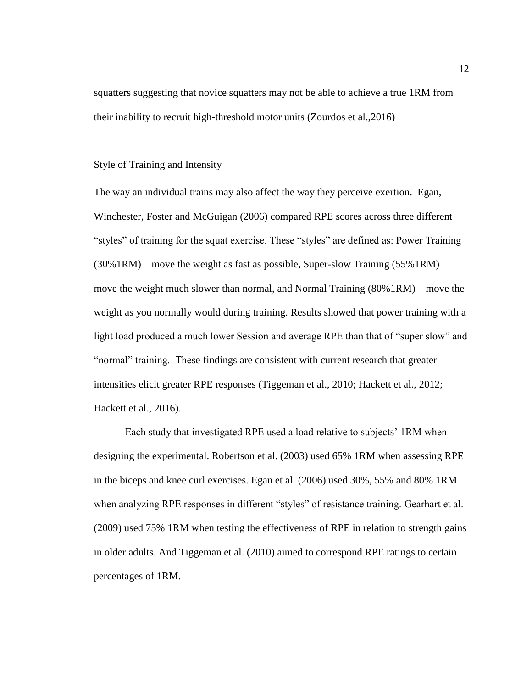squatters suggesting that novice squatters may not be able to achieve a true 1RM from their inability to recruit high-threshold motor units (Zourdos et al.,2016)

## Style of Training and Intensity

The way an individual trains may also affect the way they perceive exertion. Egan, Winchester, Foster and McGuigan (2006) compared RPE scores across three different "styles" of training for the squat exercise. These "styles" are defined as: Power Training  $(30\%1RM)$  – move the weight as fast as possible, Super-slow Training  $(55\%1RM)$  – move the weight much slower than normal, and Normal Training (80%1RM) – move the weight as you normally would during training. Results showed that power training with a light load produced a much lower Session and average RPE than that of "super slow" and "normal" training. These findings are consistent with current research that greater intensities elicit greater RPE responses (Tiggeman et al., 2010; Hackett et al., 2012; Hackett et al., 2016).

Each study that investigated RPE used a load relative to subjects' 1RM when designing the experimental. Robertson et al. (2003) used 65% 1RM when assessing RPE in the biceps and knee curl exercises. Egan et al. (2006) used 30%, 55% and 80% 1RM when analyzing RPE responses in different "styles" of resistance training. Gearhart et al. (2009) used 75% 1RM when testing the effectiveness of RPE in relation to strength gains in older adults. And Tiggeman et al. (2010) aimed to correspond RPE ratings to certain percentages of 1RM.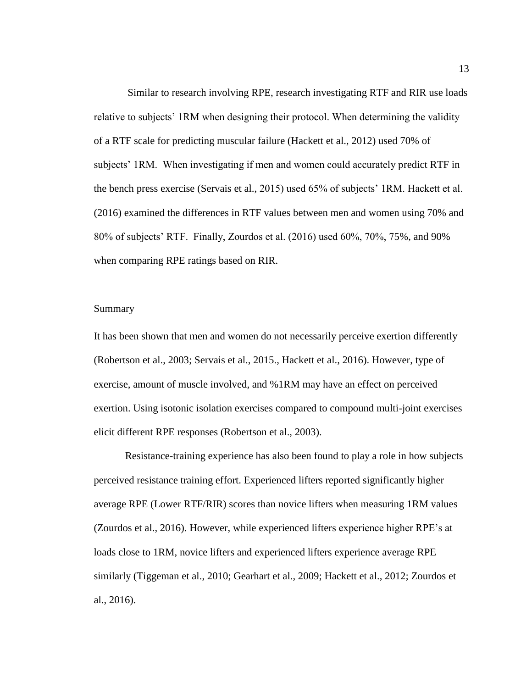Similar to research involving RPE, research investigating RTF and RIR use loads relative to subjects' 1RM when designing their protocol. When determining the validity of a RTF scale for predicting muscular failure (Hackett et al., 2012) used 70% of subjects' 1RM. When investigating if men and women could accurately predict RTF in the bench press exercise (Servais et al., 2015) used 65% of subjects' 1RM. Hackett et al. (2016) examined the differences in RTF values between men and women using 70% and 80% of subjects' RTF. Finally, Zourdos et al. (2016) used 60%, 70%, 75%, and 90% when comparing RPE ratings based on RIR.

#### Summary

It has been shown that men and women do not necessarily perceive exertion differently (Robertson et al., 2003; Servais et al., 2015., Hackett et al., 2016). However, type of exercise, amount of muscle involved, and %1RM may have an effect on perceived exertion. Using isotonic isolation exercises compared to compound multi-joint exercises elicit different RPE responses (Robertson et al., 2003).

Resistance-training experience has also been found to play a role in how subjects perceived resistance training effort. Experienced lifters reported significantly higher average RPE (Lower RTF/RIR) scores than novice lifters when measuring 1RM values (Zourdos et al., 2016). However, while experienced lifters experience higher RPE's at loads close to 1RM, novice lifters and experienced lifters experience average RPE similarly (Tiggeman et al., 2010; Gearhart et al., 2009; Hackett et al., 2012; Zourdos et al., 2016).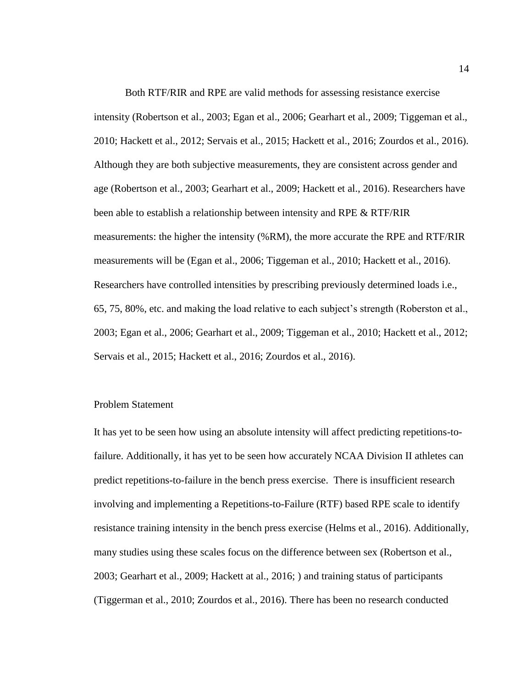Both RTF/RIR and RPE are valid methods for assessing resistance exercise intensity (Robertson et al., 2003; Egan et al., 2006; Gearhart et al., 2009; Tiggeman et al., 2010; Hackett et al., 2012; Servais et al., 2015; Hackett et al., 2016; Zourdos et al., 2016). Although they are both subjective measurements, they are consistent across gender and age (Robertson et al., 2003; Gearhart et al., 2009; Hackett et al., 2016). Researchers have been able to establish a relationship between intensity and RPE & RTF/RIR measurements: the higher the intensity (%RM), the more accurate the RPE and RTF/RIR measurements will be (Egan et al., 2006; Tiggeman et al., 2010; Hackett et al., 2016). Researchers have controlled intensities by prescribing previously determined loads i.e., 65, 75, 80%, etc. and making the load relative to each subject's strength (Roberston et al., 2003; Egan et al., 2006; Gearhart et al., 2009; Tiggeman et al., 2010; Hackett et al., 2012; Servais et al., 2015; Hackett et al., 2016; Zourdos et al., 2016).

## Problem Statement

It has yet to be seen how using an absolute intensity will affect predicting repetitions-tofailure. Additionally, it has yet to be seen how accurately NCAA Division II athletes can predict repetitions-to-failure in the bench press exercise. There is insufficient research involving and implementing a Repetitions-to-Failure (RTF) based RPE scale to identify resistance training intensity in the bench press exercise (Helms et al., 2016). Additionally, many studies using these scales focus on the difference between sex (Robertson et al., 2003; Gearhart et al., 2009; Hackett at al., 2016; ) and training status of participants (Tiggerman et al., 2010; Zourdos et al., 2016). There has been no research conducted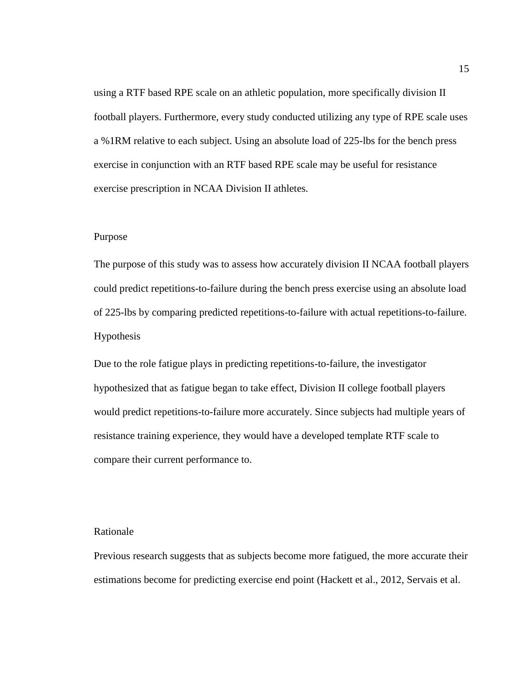using a RTF based RPE scale on an athletic population, more specifically division II football players. Furthermore, every study conducted utilizing any type of RPE scale uses a %1RM relative to each subject. Using an absolute load of 225-lbs for the bench press exercise in conjunction with an RTF based RPE scale may be useful for resistance exercise prescription in NCAA Division II athletes.

## Purpose

The purpose of this study was to assess how accurately division II NCAA football players could predict repetitions-to-failure during the bench press exercise using an absolute load of 225-lbs by comparing predicted repetitions-to-failure with actual repetitions-to-failure. Hypothesis

Due to the role fatigue plays in predicting repetitions-to-failure, the investigator hypothesized that as fatigue began to take effect, Division II college football players would predict repetitions-to-failure more accurately. Since subjects had multiple years of resistance training experience, they would have a developed template RTF scale to compare their current performance to.

#### Rationale

Previous research suggests that as subjects become more fatigued, the more accurate their estimations become for predicting exercise end point (Hackett et al., 2012, Servais et al.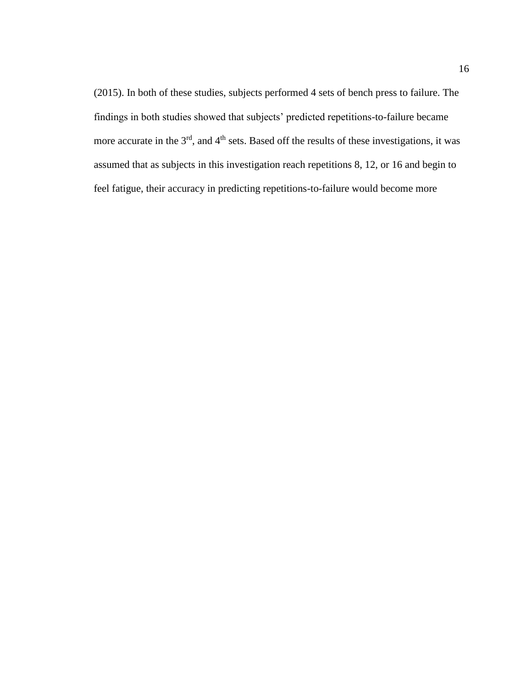(2015). In both of these studies, subjects performed 4 sets of bench press to failure. The findings in both studies showed that subjects' predicted repetitions-to-failure became more accurate in the 3<sup>rd</sup>, and 4<sup>th</sup> sets. Based off the results of these investigations, it was assumed that as subjects in this investigation reach repetitions 8, 12, or 16 and begin to feel fatigue, their accuracy in predicting repetitions-to-failure would become more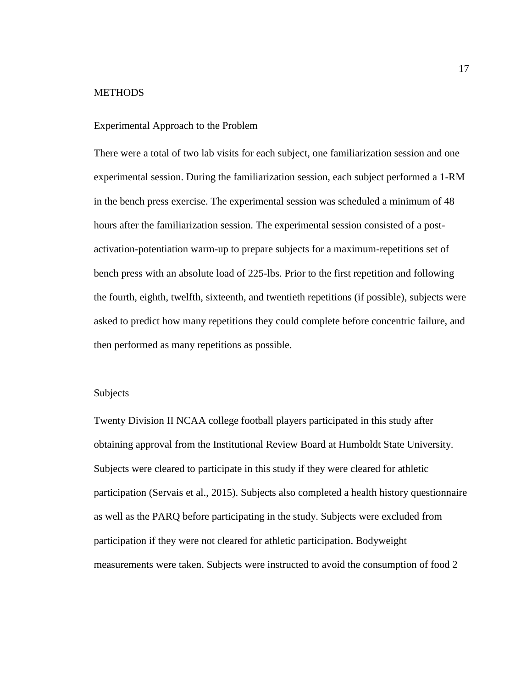## **METHODS**

## Experimental Approach to the Problem

There were a total of two lab visits for each subject, one familiarization session and one experimental session. During the familiarization session, each subject performed a 1-RM in the bench press exercise. The experimental session was scheduled a minimum of 48 hours after the familiarization session. The experimental session consisted of a postactivation-potentiation warm-up to prepare subjects for a maximum-repetitions set of bench press with an absolute load of 225-lbs. Prior to the first repetition and following the fourth, eighth, twelfth, sixteenth, and twentieth repetitions (if possible), subjects were asked to predict how many repetitions they could complete before concentric failure, and then performed as many repetitions as possible.

## Subjects

Twenty Division II NCAA college football players participated in this study after obtaining approval from the Institutional Review Board at Humboldt State University. Subjects were cleared to participate in this study if they were cleared for athletic participation (Servais et al., 2015). Subjects also completed a health history questionnaire as well as the PARQ before participating in the study. Subjects were excluded from participation if they were not cleared for athletic participation. Bodyweight measurements were taken. Subjects were instructed to avoid the consumption of food 2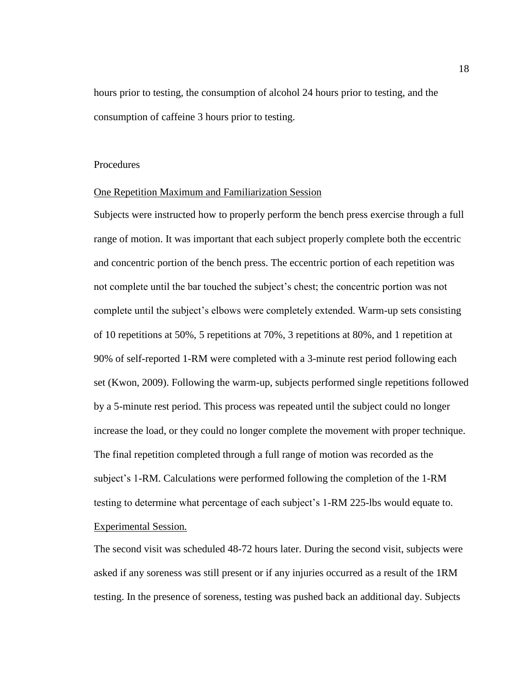hours prior to testing, the consumption of alcohol 24 hours prior to testing, and the consumption of caffeine 3 hours prior to testing.

## **Procedures**

## One Repetition Maximum and Familiarization Session

Subjects were instructed how to properly perform the bench press exercise through a full range of motion. It was important that each subject properly complete both the eccentric and concentric portion of the bench press. The eccentric portion of each repetition was not complete until the bar touched the subject's chest; the concentric portion was not complete until the subject's elbows were completely extended. Warm-up sets consisting of 10 repetitions at 50%, 5 repetitions at 70%, 3 repetitions at 80%, and 1 repetition at 90% of self-reported 1-RM were completed with a 3-minute rest period following each set (Kwon, 2009). Following the warm-up, subjects performed single repetitions followed by a 5-minute rest period. This process was repeated until the subject could no longer increase the load, or they could no longer complete the movement with proper technique. The final repetition completed through a full range of motion was recorded as the subject's 1-RM. Calculations were performed following the completion of the 1-RM testing to determine what percentage of each subject's 1-RM 225-lbs would equate to. Experimental Session*.* 

The second visit was scheduled 48-72 hours later. During the second visit, subjects were asked if any soreness was still present or if any injuries occurred as a result of the 1RM testing. In the presence of soreness, testing was pushed back an additional day. Subjects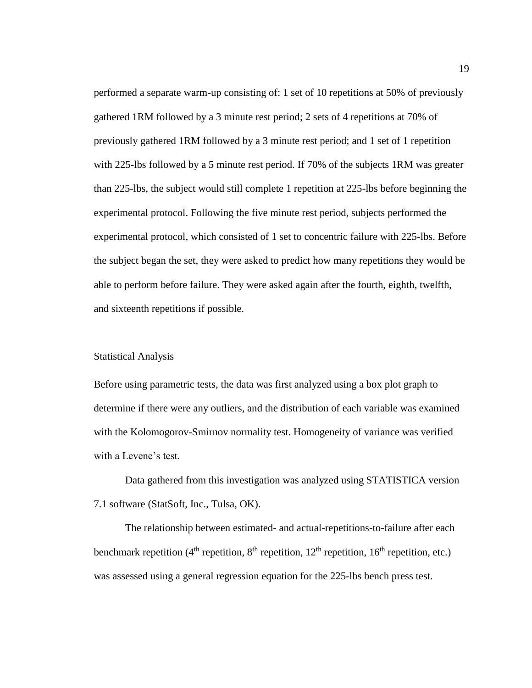performed a separate warm-up consisting of: 1 set of 10 repetitions at 50% of previously gathered 1RM followed by a 3 minute rest period; 2 sets of 4 repetitions at 70% of previously gathered 1RM followed by a 3 minute rest period; and 1 set of 1 repetition with 225-lbs followed by a 5 minute rest period. If 70% of the subjects 1RM was greater than 225-lbs, the subject would still complete 1 repetition at 225-lbs before beginning the experimental protocol. Following the five minute rest period, subjects performed the experimental protocol, which consisted of 1 set to concentric failure with 225-lbs. Before the subject began the set, they were asked to predict how many repetitions they would be able to perform before failure. They were asked again after the fourth, eighth, twelfth, and sixteenth repetitions if possible.

#### Statistical Analysis

Before using parametric tests, the data was first analyzed using a box plot graph to determine if there were any outliers, and the distribution of each variable was examined with the Kolomogorov-Smirnov normality test. Homogeneity of variance was verified with a Levene's test.

Data gathered from this investigation was analyzed using STATISTICA version 7.1 software (StatSoft, Inc., Tulsa, OK).

The relationship between estimated- and actual-repetitions-to-failure after each benchmark repetition ( $4<sup>th</sup>$  repetition,  $8<sup>th</sup>$  repetition,  $12<sup>th</sup>$  repetition, etc.) was assessed using a general regression equation for the 225-lbs bench press test.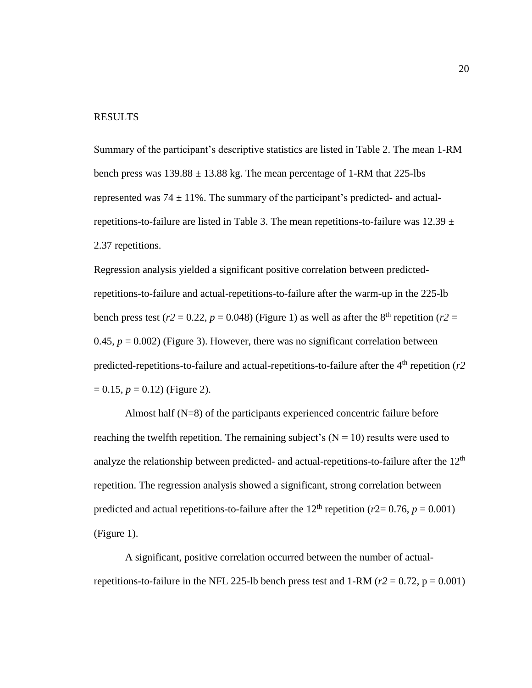## RESULTS

Summary of the participant's descriptive statistics are listed in Table 2. The mean 1-RM bench press was  $139.88 \pm 13.88$  kg. The mean percentage of 1-RM that 225-lbs represented was  $74 \pm 11\%$ . The summary of the participant's predicted- and actualrepetitions-to-failure are listed in Table 3. The mean repetitions-to-failure was  $12.39 \pm$ 2.37 repetitions.

Regression analysis yielded a significant positive correlation between predictedrepetitions-to-failure and actual-repetitions-to-failure after the warm-up in the 225-lb bench press test ( $r2 = 0.22$ ,  $p = 0.048$ ) (Figure 1) as well as after the 8<sup>th</sup> repetition ( $r2 =$ 0.45,  $p = 0.002$ ) (Figure 3). However, there was no significant correlation between predicted-repetitions-to-failure and actual-repetitions-to-failure after the  $4<sup>th</sup>$  repetition ( $r2$ )  $= 0.15$ ,  $p = 0.12$ ) (Figure 2).

Almost half (N=8) of the participants experienced concentric failure before reaching the twelfth repetition. The remaining subject's  $(N = 10)$  results were used to analyze the relationship between predicted- and actual-repetitions-to-failure after the  $12<sup>th</sup>$ repetition. The regression analysis showed a significant, strong correlation between predicted and actual repetitions-to-failure after the  $12<sup>th</sup>$  repetition ( $r2=0.76$ ,  $p=0.001$ ) (Figure 1).

A significant, positive correlation occurred between the number of actualrepetitions-to-failure in the NFL 225-lb bench press test and  $1-RM (r2 = 0.72, p = 0.001)$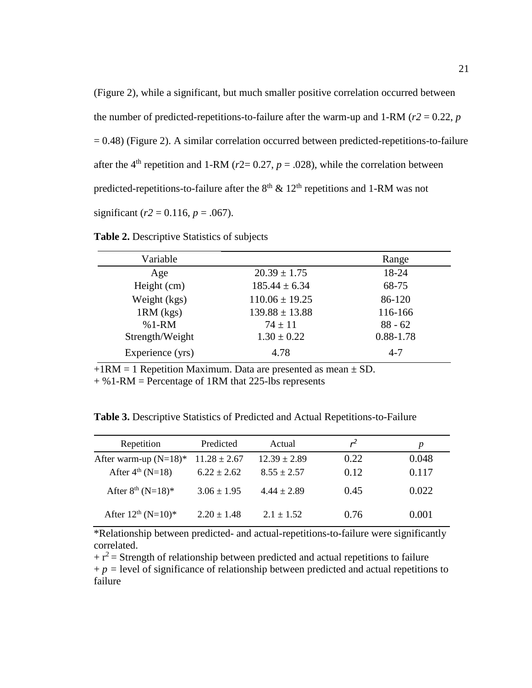(Figure 2), while a significant, but much smaller positive correlation occurred between the number of predicted-repetitions-to-failure after the warm-up and 1-RM ( $r2 = 0.22$ ,  $p$ )  $= 0.48$ ) (Figure 2). A similar correlation occurred between predicted-repetitions-to-failure after the 4<sup>th</sup> repetition and 1-RM ( $r2$ = 0.27,  $p$  = .028), while the correlation between predicted-repetitions-to-failure after the  $8<sup>th</sup>$  &  $12<sup>th</sup>$  repetitions and 1-RM was not significant ( $r2 = 0.116$ ,  $p = .067$ ).

Variable Range Age  $20.39 \pm 1.75$  18-24 Height (cm)  $185.44 \pm 6.34$  68-75 Weight (kgs)  $110.06 \pm 19.25$  86-120  $1RM$  (kgs)  $139.88 \pm 13.88$   $116-166$ %1-RM  $74 \pm 11$  88 - 62 Strength/Weight  $1.30 \pm 0.22$  0.88-1.78

**Table 2.** Descriptive Statistics of subjects

 $+1RM = 1$  Repetition Maximum. Data are presented as mean  $\pm$  SD.

+ %1-RM = Percentage of 1RM that 225-lbs represents

**Table 3.** Descriptive Statistics of Predicted and Actual Repetitions-to-Failure

Experience (yrs)  $4.78$   $4.7$ 

| Repetition                   | Predicted        | Actual           | $r^2$ | p     |
|------------------------------|------------------|------------------|-------|-------|
| After warm-up $(N=18)^*$     | $11.28 \pm 2.67$ | $12.39 \pm 2.89$ | 0.22  | 0.048 |
| After $4^{\text{th}}$ (N=18) | $6.22 \pm 2.62$  | $8.55 \pm 2.57$  | 0.12  | 0.117 |
| After $8^{th}$ (N=18)*       | $3.06 \pm 1.95$  | $4.44 \pm 2.89$  | 0.45  | 0.022 |
| After $12^{th}$ (N=10)*      | $2.20 \pm 1.48$  | $2.1 \pm 1.52$   | 0.76  | 0.001 |

\*Relationship between predicted- and actual-repetitions-to-failure were significantly correlated.

 $+r^2$  = Strength of relationship between predicted and actual repetitions to failure

 $+p =$  level of significance of relationship between predicted and actual repetitions to failure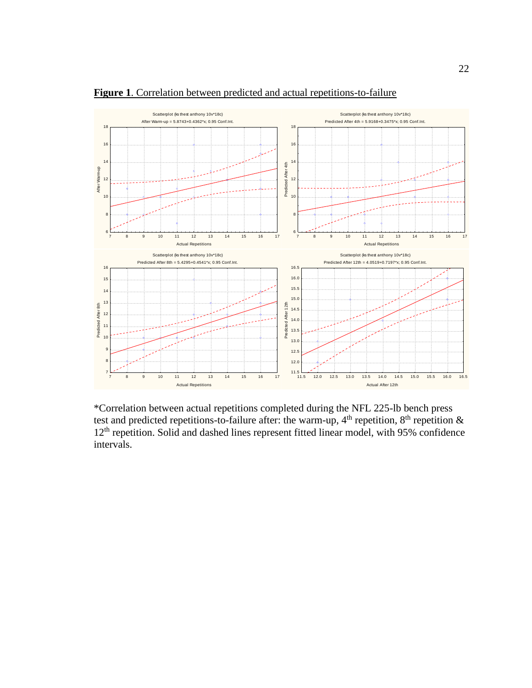

**Figure 1**. Correlation between predicted and actual repetitions-to-failure

\*Correlation between actual repetitions completed during the NFL 225-lb bench press test and predicted repetitions-to-failure after: the warm-up,  $4<sup>th</sup>$  repetition,  $8<sup>th</sup>$  repetition  $\&$ 12<sup>th</sup> repetition. Solid and dashed lines represent fitted linear model, with 95% confidence intervals.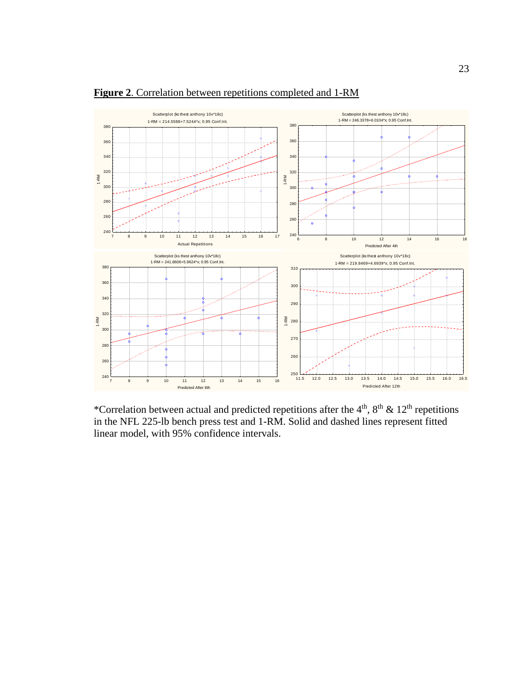

**Figure 2**. Correlation between repetitions completed and 1-RM

\*Correlation between actual and predicted repetitions after the  $4<sup>th</sup>$ ,  $8<sup>th</sup>$  &  $12<sup>th</sup>$  repetitions in the NFL 225-lb bench press test and 1-RM. Solid and dashed lines represent fitted linear model, with 95% confidence intervals.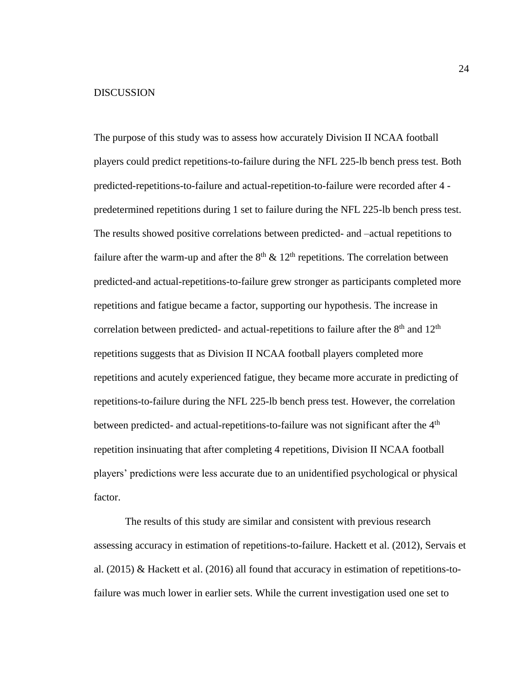## DISCUSSION

The purpose of this study was to assess how accurately Division II NCAA football players could predict repetitions-to-failure during the NFL 225-lb bench press test. Both predicted-repetitions-to-failure and actual-repetition-to-failure were recorded after 4 predetermined repetitions during 1 set to failure during the NFL 225-lb bench press test. The results showed positive correlations between predicted- and –actual repetitions to failure after the warm-up and after the  $8<sup>th</sup>$  & 12<sup>th</sup> repetitions. The correlation between predicted-and actual-repetitions-to-failure grew stronger as participants completed more repetitions and fatigue became a factor, supporting our hypothesis. The increase in correlation between predicted- and actual-repetitions to failure after the  $8<sup>th</sup>$  and  $12<sup>th</sup>$ repetitions suggests that as Division II NCAA football players completed more repetitions and acutely experienced fatigue, they became more accurate in predicting of repetitions-to-failure during the NFL 225-lb bench press test. However, the correlation between predicted- and actual-repetitions-to-failure was not significant after the 4<sup>th</sup> repetition insinuating that after completing 4 repetitions, Division II NCAA football players' predictions were less accurate due to an unidentified psychological or physical factor.

The results of this study are similar and consistent with previous research assessing accuracy in estimation of repetitions-to-failure. Hackett et al. (2012), Servais et al. (2015) & Hackett et al. (2016) all found that accuracy in estimation of repetitions-tofailure was much lower in earlier sets. While the current investigation used one set to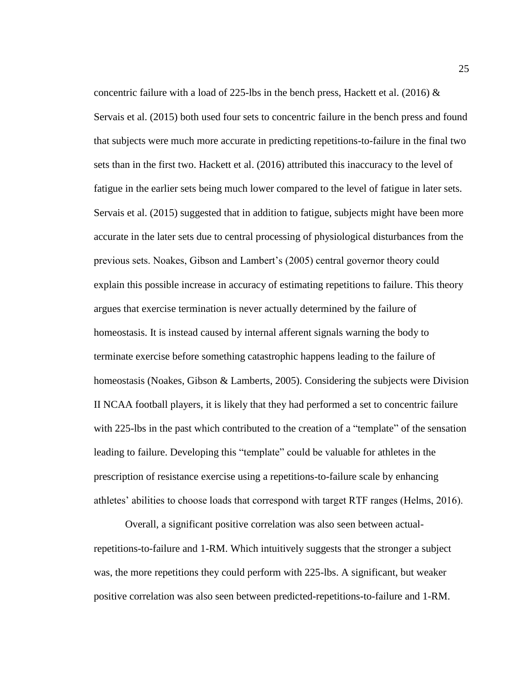concentric failure with a load of 225-lbs in the bench press, Hackett et al. (2016)  $\&$ Servais et al. (2015) both used four sets to concentric failure in the bench press and found that subjects were much more accurate in predicting repetitions-to-failure in the final two sets than in the first two. Hackett et al. (2016) attributed this inaccuracy to the level of fatigue in the earlier sets being much lower compared to the level of fatigue in later sets. Servais et al. (2015) suggested that in addition to fatigue, subjects might have been more accurate in the later sets due to central processing of physiological disturbances from the previous sets. Noakes, Gibson and Lambert's (2005) central governor theory could explain this possible increase in accuracy of estimating repetitions to failure. This theory argues that exercise termination is never actually determined by the failure of homeostasis. It is instead caused by internal afferent signals warning the body to terminate exercise before something catastrophic happens leading to the failure of homeostasis (Noakes, Gibson & Lamberts, 2005). Considering the subjects were Division II NCAA football players, it is likely that they had performed a set to concentric failure with 225-lbs in the past which contributed to the creation of a "template" of the sensation leading to failure. Developing this "template" could be valuable for athletes in the prescription of resistance exercise using a repetitions-to-failure scale by enhancing athletes' abilities to choose loads that correspond with target RTF ranges (Helms, 2016).

Overall, a significant positive correlation was also seen between actualrepetitions-to-failure and 1-RM. Which intuitively suggests that the stronger a subject was, the more repetitions they could perform with 225-lbs. A significant, but weaker positive correlation was also seen between predicted-repetitions-to-failure and 1-RM.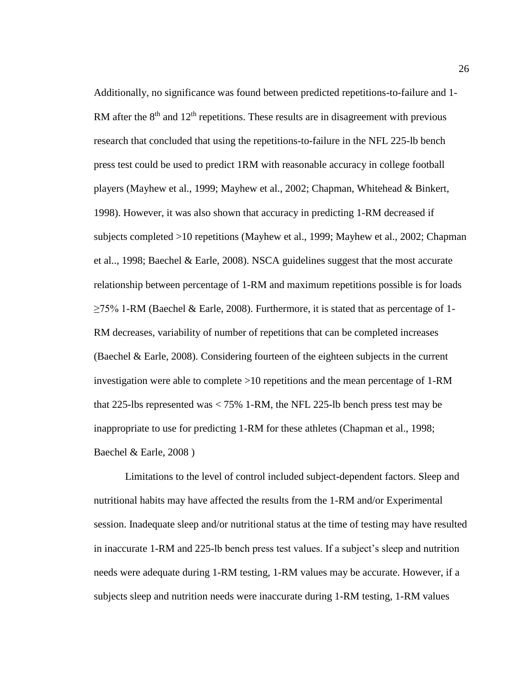Additionally, no significance was found between predicted repetitions-to-failure and 1- RM after the  $8<sup>th</sup>$  and  $12<sup>th</sup>$  repetitions. These results are in disagreement with previous research that concluded that using the repetitions-to-failure in the NFL 225-lb bench press test could be used to predict 1RM with reasonable accuracy in college football players (Mayhew et al., 1999; Mayhew et al., 2002; Chapman, Whitehead & Binkert, 1998). However, it was also shown that accuracy in predicting 1-RM decreased if subjects completed >10 repetitions (Mayhew et al., 1999; Mayhew et al., 2002; Chapman et al.., 1998; Baechel & Earle, 2008). NSCA guidelines suggest that the most accurate relationship between percentage of 1-RM and maximum repetitions possible is for loads  $\geq$ 75% 1-RM (Baechel & Earle, 2008). Furthermore, it is stated that as percentage of 1-RM decreases, variability of number of repetitions that can be completed increases (Baechel & Earle, 2008). Considering fourteen of the eighteen subjects in the current investigation were able to complete >10 repetitions and the mean percentage of 1-RM that 225-lbs represented was < 75% 1-RM, the NFL 225-lb bench press test may be inappropriate to use for predicting 1-RM for these athletes (Chapman et al., 1998; Baechel & Earle, 2008 )

Limitations to the level of control included subject-dependent factors. Sleep and nutritional habits may have affected the results from the 1-RM and/or Experimental session. Inadequate sleep and/or nutritional status at the time of testing may have resulted in inaccurate 1-RM and 225-lb bench press test values. If a subject's sleep and nutrition needs were adequate during 1-RM testing, 1-RM values may be accurate. However, if a subjects sleep and nutrition needs were inaccurate during 1-RM testing, 1-RM values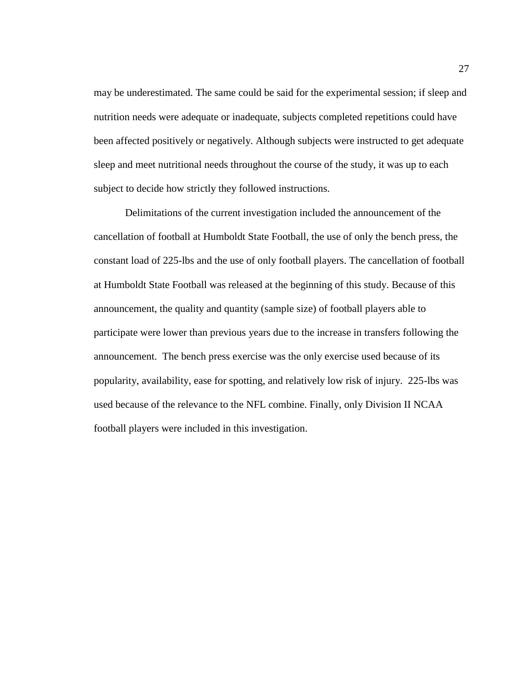may be underestimated. The same could be said for the experimental session; if sleep and nutrition needs were adequate or inadequate, subjects completed repetitions could have been affected positively or negatively. Although subjects were instructed to get adequate sleep and meet nutritional needs throughout the course of the study, it was up to each subject to decide how strictly they followed instructions.

Delimitations of the current investigation included the announcement of the cancellation of football at Humboldt State Football, the use of only the bench press, the constant load of 225-lbs and the use of only football players. The cancellation of football at Humboldt State Football was released at the beginning of this study. Because of this announcement, the quality and quantity (sample size) of football players able to participate were lower than previous years due to the increase in transfers following the announcement. The bench press exercise was the only exercise used because of its popularity, availability, ease for spotting, and relatively low risk of injury. 225-lbs was used because of the relevance to the NFL combine. Finally, only Division II NCAA football players were included in this investigation.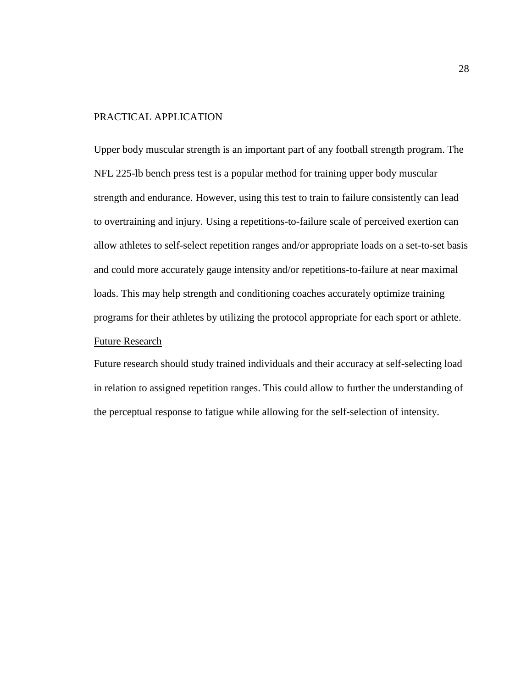## PRACTICAL APPLICATION

Upper body muscular strength is an important part of any football strength program. The NFL 225-lb bench press test is a popular method for training upper body muscular strength and endurance. However, using this test to train to failure consistently can lead to overtraining and injury. Using a repetitions-to-failure scale of perceived exertion can allow athletes to self-select repetition ranges and/or appropriate loads on a set-to-set basis and could more accurately gauge intensity and/or repetitions-to-failure at near maximal loads. This may help strength and conditioning coaches accurately optimize training programs for their athletes by utilizing the protocol appropriate for each sport or athlete. Future Research

Future research should study trained individuals and their accuracy at self-selecting load in relation to assigned repetition ranges. This could allow to further the understanding of the perceptual response to fatigue while allowing for the self-selection of intensity.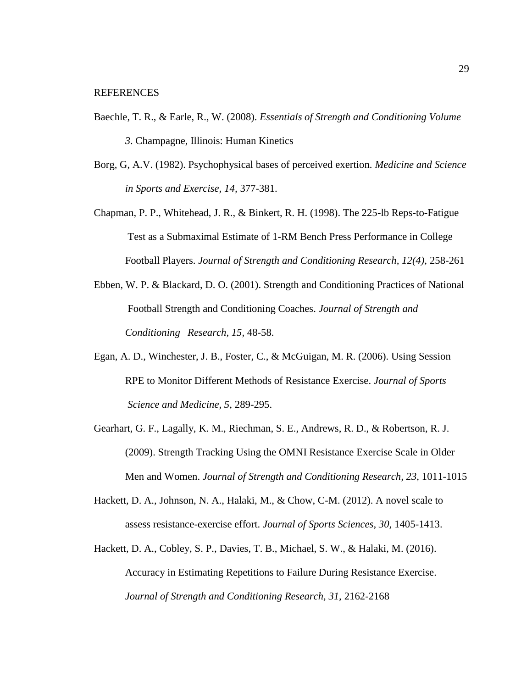- Baechle, T. R., & Earle, R., W. (2008). *Essentials of Strength and Conditioning Volume 3*. Champagne, Illinois: Human Kinetics
- Borg, G, A.V. (1982). Psychophysical bases of perceived exertion. *Medicine and Science in Sports and Exercise, 14,* 377-381.
- Chapman, P. P., Whitehead, J. R., & Binkert, R. H. (1998). The 225-lb Reps-to-Fatigue Test as a Submaximal Estimate of 1-RM Bench Press Performance in College Football Players. *Journal of Strength and Conditioning Research, 12(4),* 258-261
- Ebben, W. P. & Blackard, D. O. (2001). Strength and Conditioning Practices of National Football Strength and Conditioning Coaches. *Journal of Strength and Conditioning Research, 15,* 48-58.
- Egan, A. D., Winchester, J. B., Foster, C., & McGuigan, M. R. (2006). Using Session RPE to Monitor Different Methods of Resistance Exercise. *Journal of Sports Science and Medicine, 5,* 289-295.
- Gearhart, G. F., Lagally, K. M., Riechman, S. E., Andrews, R. D., & Robertson, R. J. (2009). Strength Tracking Using the OMNI Resistance Exercise Scale in Older Men and Women. *Journal of Strength and Conditioning Research, 23,* 1011-1015
- Hackett, D. A., Johnson, N. A., Halaki, M., & Chow, C-M. (2012). A novel scale to assess resistance-exercise effort. *Journal of Sports Sciences, 30,* 1405-1413.
- Hackett, D. A., Cobley, S. P., Davies, T. B., Michael, S. W., & Halaki, M. (2016). Accuracy in Estimating Repetitions to Failure During Resistance Exercise. *Journal of Strength and Conditioning Research, 31,* 2162-2168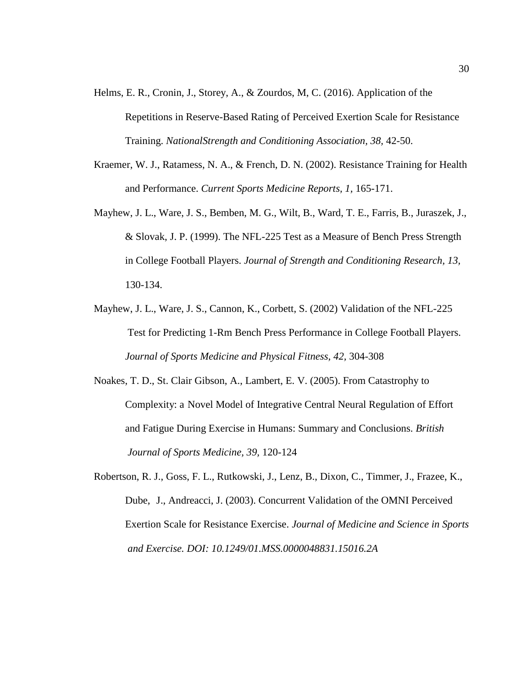- Helms, E. R., Cronin, J., Storey, A., & Zourdos, M, C. (2016). Application of the Repetitions in Reserve-Based Rating of Perceived Exertion Scale for Resistance Training. *NationalStrength and Conditioning Association, 38,* 42-50.
- Kraemer, W. J., Ratamess, N. A., & French, D. N. (2002). Resistance Training for Health and Performance. *Current Sports Medicine Reports, 1,* 165-171.
- Mayhew, J. L., Ware, J. S., Bemben, M. G., Wilt, B., Ward, T. E., Farris, B., Juraszek, J., & Slovak, J. P. (1999). The NFL-225 Test as a Measure of Bench Press Strength in College Football Players. *Journal of Strength and Conditioning Research, 13,* 130-134.
- Mayhew, J. L., Ware, J. S., Cannon, K., Corbett, S. (2002) Validation of the NFL-225 Test for Predicting 1-Rm Bench Press Performance in College Football Players. *Journal of Sports Medicine and Physical Fitness, 42,* 304-308
- Noakes, T. D., St. Clair Gibson, A., Lambert, E. V. (2005). From Catastrophy to Complexity: a Novel Model of Integrative Central Neural Regulation of Effort and Fatigue During Exercise in Humans: Summary and Conclusions. *British Journal of Sports Medicine, 39,* 120-124
- Robertson, R. J., Goss, F. L., Rutkowski, J., Lenz, B., Dixon, C., Timmer, J., Frazee, K., Dube, J., Andreacci, J. (2003). Concurrent Validation of the OMNI Perceived Exertion Scale for Resistance Exercise. *Journal of Medicine and Science in Sports and Exercise. DOI: 10.1249/01.MSS.0000048831.15016.2A*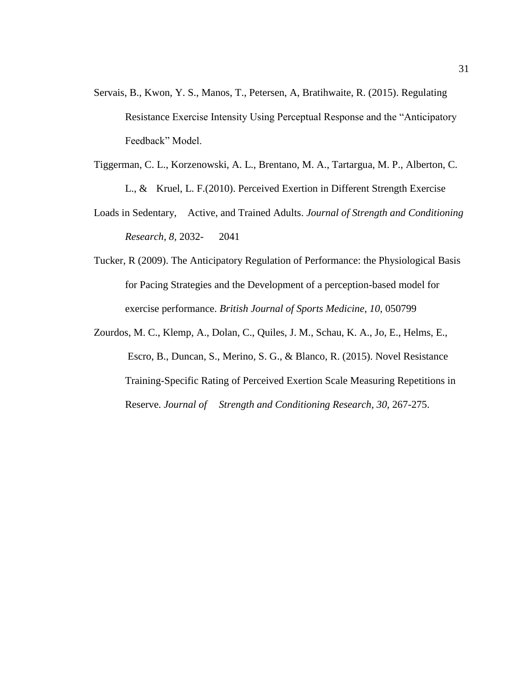- Servais, B., Kwon, Y. S., Manos, T., Petersen, A, Bratihwaite, R. (2015). Regulating Resistance Exercise Intensity Using Perceptual Response and the "Anticipatory Feedback" Model.
- Tiggerman, C. L., Korzenowski, A. L., Brentano, M. A., Tartargua, M. P., Alberton, C. L., & Kruel, L. F.(2010). Perceived Exertion in Different Strength Exercise
- Loads in Sedentary, Active, and Trained Adults. *Journal of Strength and Conditioning Research, 8,* 2032- 2041
- Tucker, R (2009). The Anticipatory Regulation of Performance: the Physiological Basis for Pacing Strategies and the Development of a perception-based model for exercise performance. *British Journal of Sports Medicine, 10,* 050799
- Zourdos, M. C., Klemp, A., Dolan, C., Quiles, J. M., Schau, K. A., Jo, E., Helms, E., Escro, B., Duncan, S., Merino, S. G., & Blanco, R. (2015). Novel Resistance Training-Specific Rating of Perceived Exertion Scale Measuring Repetitions in Reserve. *Journal of Strength and Conditioning Research, 30,* 267-275.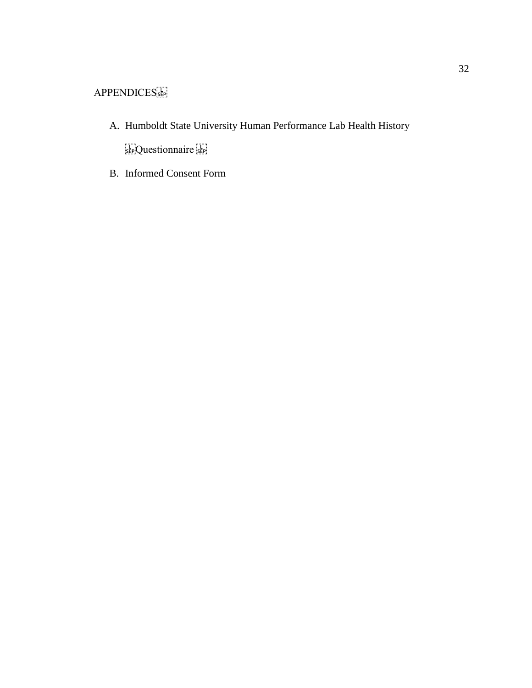- A. Humboldt State University Human Performance Lab Health History sep;Questionnaire sep;
- B. Informed Consent Form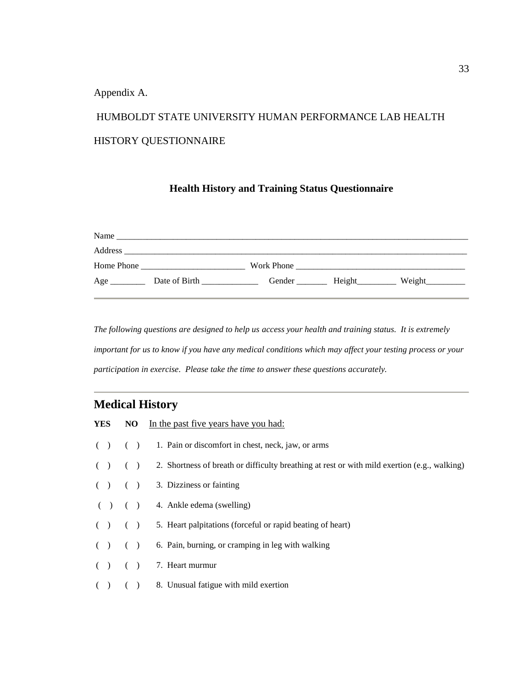Appendix A.

# HUMBOLDT STATE UNIVERSITY HUMAN PERFORMANCE LAB HEALTH HISTORY QUESTIONNAIRE

## **Health History and Training Status Questionnaire**

| Name       |               |            |        |        |
|------------|---------------|------------|--------|--------|
| Address    |               |            |        |        |
| Home Phone |               | Work Phone |        |        |
| Age        | Date of Birth | Gender     | Height | Weight |

*The following questions are designed to help us access your health and training status. It is extremely important for us to know if you have any medical conditions which may affect your testing process or your participation in exercise. Please take the time to answer these questions accurately.*

## **Medical History**

|  | <b>YES</b> NO In the past five years have you had:                                                              |
|--|-----------------------------------------------------------------------------------------------------------------|
|  | $( )$ () 1. Pain or discomfort in chest, neck, jaw, or arms                                                     |
|  | $($ $)$ $($ $)$ $2$ . Shortness of breath or difficulty breathing at rest or with mild exertion (e.g., walking) |
|  | $( )$ $( )$ 3. Dizziness or fainting                                                                            |
|  | $( )$ ( ) 4. Ankle edema (swelling)                                                                             |
|  | $( )$ () 5. Heart palpitations (forceful or rapid beating of heart)                                             |
|  | $($ $)$ $($ $)$ $6.$ Pain, burning, or cramping in leg with walking                                             |
|  | $( )$ $( )$ 7. Heart murmur                                                                                     |
|  | $( )$ ( ) 8. Unusual fatigue with mild exertion                                                                 |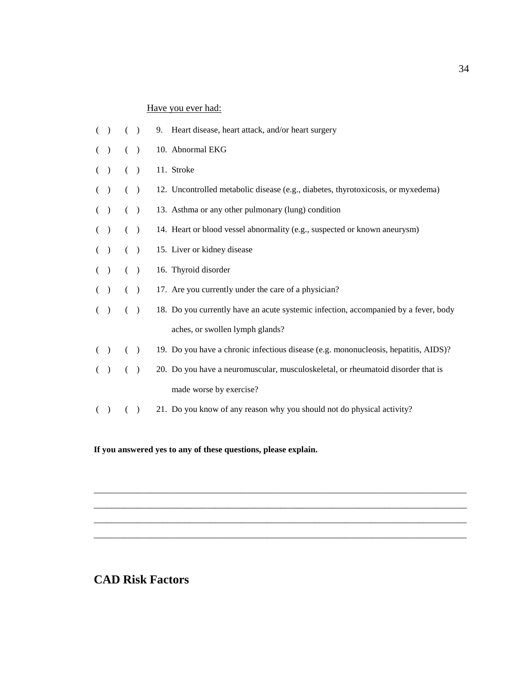## Have you ever had:

|         | ( )   | 9. Heart disease, heart attack, and/or heart surgery                                |
|---------|-------|-------------------------------------------------------------------------------------|
| ( )     | ( )   | 10. Abnormal EKG                                                                    |
| ( ) ( ) |       | 11. Stroke                                                                          |
| ( )     | ( )   | 12. Uncontrolled metabolic disease (e.g., diabetes, thyrotoxicosis, or myxedema)    |
| ( ) ( ) |       | 13. Asthma or any other pulmonary (lung) condition                                  |
| ( )     | $($ ) | 14. Heart or blood vessel abnormality (e.g., suspected or known aneurysm)           |
| ( ) ( ) |       | 15. Liver or kidney disease                                                         |
| ( ) ( ) |       | 16. Thyroid disorder                                                                |
| ( ) ( ) |       | 17. Are you currently under the care of a physician?                                |
| ( ) ( ) |       | 18. Do you currently have an acute systemic infection, accompanied by a fever, body |
|         |       | aches, or swollen lymph glands?                                                     |
| ( ) ( ) |       | 19. Do you have a chronic infectious disease (e.g. mononucleosis, hepatitis, AIDS)? |
| ( )     | ( )   | 20. Do you have a neuromuscular, musculoskeletal, or rheumatoid disorder that is    |
|         |       | made worse by exercise?                                                             |
|         | $($ ) | 21. Do you know of any reason why you should not do physical activity?              |

\_\_\_\_\_\_\_\_\_\_\_\_\_\_\_\_\_\_\_\_\_\_\_\_\_\_\_\_\_\_\_\_\_\_\_\_\_\_\_\_\_\_\_\_\_\_\_\_\_\_\_\_\_\_\_\_\_\_\_\_\_\_\_\_\_\_\_\_\_\_\_\_\_\_\_\_\_\_\_\_\_\_\_\_\_\_ \_\_\_\_\_\_\_\_\_\_\_\_\_\_\_\_\_\_\_\_\_\_\_\_\_\_\_\_\_\_\_\_\_\_\_\_\_\_\_\_\_\_\_\_\_\_\_\_\_\_\_\_\_\_\_\_\_\_\_\_\_\_\_\_\_\_\_\_\_\_\_\_\_\_\_\_\_\_\_\_\_\_\_\_\_\_ \_\_\_\_\_\_\_\_\_\_\_\_\_\_\_\_\_\_\_\_\_\_\_\_\_\_\_\_\_\_\_\_\_\_\_\_\_\_\_\_\_\_\_\_\_\_\_\_\_\_\_\_\_\_\_\_\_\_\_\_\_\_\_\_\_\_\_\_\_\_\_\_\_\_\_\_\_\_\_\_\_\_\_\_\_\_ \_\_\_\_\_\_\_\_\_\_\_\_\_\_\_\_\_\_\_\_\_\_\_\_\_\_\_\_\_\_\_\_\_\_\_\_\_\_\_\_\_\_\_\_\_\_\_\_\_\_\_\_\_\_\_\_\_\_\_\_\_\_\_\_\_\_\_\_\_\_\_\_\_\_\_\_\_\_\_\_\_\_\_\_\_\_

**If you answered yes to any of these questions, please explain.**

## **CAD Risk Factors**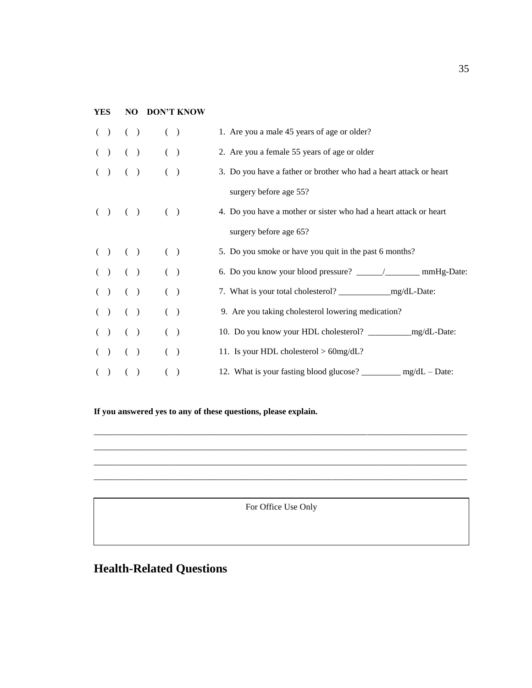## **YES NO DON'T KNOW**

|  | ( ) ( ) |  |                       | ( )   | 1. Are you a male 45 years of age or older?                         |
|--|---------|--|-----------------------|-------|---------------------------------------------------------------------|
|  |         |  | $( ) ( ) ( ) ( ) ( )$ |       | 2. Are you a female 55 years of age or older                        |
|  |         |  | $( ) ( ) ( ) ( ) ( )$ |       | 3. Do you have a father or brother who had a heart attack or heart  |
|  |         |  |                       |       | surgery before age 55?                                              |
|  |         |  | ( ) ( ) ( ) ( )       |       | 4. Do you have a mother or sister who had a heart attack or heart   |
|  |         |  |                       |       | surgery before age 65?                                              |
|  | ( ) ( ) |  | $(\ )$                |       | 5. Do you smoke or have you quit in the past 6 months?              |
|  | ( ) ( ) |  | $(\ )$                |       |                                                                     |
|  | ( ) ( ) |  |                       | ( )   |                                                                     |
|  | ( ) ( ) |  |                       | ( )   | 9. Are you taking cholesterol lowering medication?                  |
|  | ( ) ( ) |  |                       | ( )   |                                                                     |
|  | ( ) ( ) |  |                       | ( )   | 11. Is your HDL cholesterol $> 60$ mg/dL?                           |
|  | ( ) ( ) |  |                       | $($ ) | 12. What is your fasting blood glucose? $\frac{1}{2}$ mg/dL – Date: |
|  |         |  |                       |       |                                                                     |

**If you answered yes to any of these questions, please explain.**

For Office Use Only

 $B_\mu$  and  $B_\mu$  and  $B_\mu$  and  $B_\mu$  and  $B_\mu$  is the choice of  $B_\mu$  and  $B_\mu$  and  $B_\mu$ 

\_\_\_\_\_\_\_\_\_\_\_\_\_\_\_\_\_\_\_\_\_\_\_\_\_\_\_\_\_\_\_\_\_\_\_\_\_\_\_\_\_\_\_\_\_\_\_\_\_\_\_\_\_\_\_\_\_\_\_\_\_\_\_\_\_\_\_\_\_\_\_\_\_\_\_\_\_\_\_\_\_\_\_\_\_\_ \_\_\_\_\_\_\_\_\_\_\_\_\_\_\_\_\_\_\_\_\_\_\_\_\_\_\_\_\_\_\_\_\_\_\_\_\_\_\_\_\_\_\_\_\_\_\_\_\_\_\_\_\_\_\_\_\_\_\_\_\_\_\_\_\_\_\_\_\_\_\_\_\_\_\_\_\_\_\_\_\_\_\_\_\_\_ \_\_\_\_\_\_\_\_\_\_\_\_\_\_\_\_\_\_\_\_\_\_\_\_\_\_\_\_\_\_\_\_\_\_\_\_\_\_\_\_\_\_\_\_\_\_\_\_\_\_\_\_\_\_\_\_\_\_\_\_\_\_\_\_\_\_\_\_\_\_\_\_\_\_\_\_\_\_\_\_\_\_\_\_\_\_ \_\_\_\_\_\_\_\_\_\_\_\_\_\_\_\_\_\_\_\_\_\_\_\_\_\_\_\_\_\_\_\_\_\_\_\_\_\_\_\_\_\_\_\_\_\_\_\_\_\_\_\_\_\_\_\_\_\_\_\_\_\_\_\_\_\_\_\_\_\_\_\_\_\_\_\_\_\_\_\_\_\_\_\_\_\_

# **Health-Related Questions**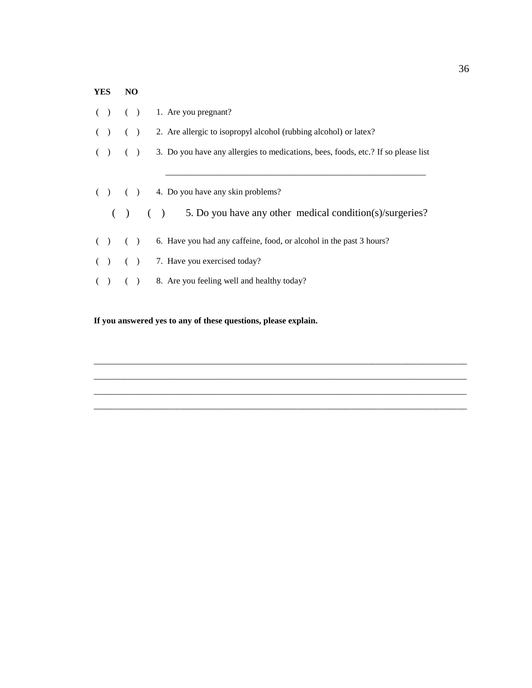# **YES NO**  $( )$  ( ) 1. Are you pregnant? ( ) ( ) 2. Are allergic to isopropyl alcohol (rubbing alcohol) or latex? ( ) ( ) 3. Do you have any allergies to medications, bees, foods, etc.? If so please list  $\mathcal{L}_\text{max} = \frac{1}{2} \sum_{i=1}^{n} \frac{1}{2} \sum_{i=1}^{n} \frac{1}{2} \sum_{i=1}^{n} \frac{1}{2} \sum_{i=1}^{n} \frac{1}{2} \sum_{i=1}^{n} \frac{1}{2} \sum_{i=1}^{n} \frac{1}{2} \sum_{i=1}^{n} \frac{1}{2} \sum_{i=1}^{n} \frac{1}{2} \sum_{i=1}^{n} \frac{1}{2} \sum_{i=1}^{n} \frac{1}{2} \sum_{i=1}^{n} \frac{1}{2} \sum_{i=1}^{n} \frac{1$ ( ) ( ) 4. Do you have any skin problems? ( ) ( ) 5. Do you have any other medical condition(s)/surgeries? ( ) ( ) 6. Have you had any caffeine, food, or alcohol in the past 3 hours? ( ) ( ) 7. Have you exercised today? ( ) ( ) 8. Are you feeling well and healthy today?

\_\_\_\_\_\_\_\_\_\_\_\_\_\_\_\_\_\_\_\_\_\_\_\_\_\_\_\_\_\_\_\_\_\_\_\_\_\_\_\_\_\_\_\_\_\_\_\_\_\_\_\_\_\_\_\_\_\_\_\_\_\_\_\_\_\_\_\_\_\_\_\_\_\_\_\_\_\_\_\_\_\_\_\_\_\_ \_\_\_\_\_\_\_\_\_\_\_\_\_\_\_\_\_\_\_\_\_\_\_\_\_\_\_\_\_\_\_\_\_\_\_\_\_\_\_\_\_\_\_\_\_\_\_\_\_\_\_\_\_\_\_\_\_\_\_\_\_\_\_\_\_\_\_\_\_\_\_\_\_\_\_\_\_\_\_\_\_\_\_\_\_\_ \_\_\_\_\_\_\_\_\_\_\_\_\_\_\_\_\_\_\_\_\_\_\_\_\_\_\_\_\_\_\_\_\_\_\_\_\_\_\_\_\_\_\_\_\_\_\_\_\_\_\_\_\_\_\_\_\_\_\_\_\_\_\_\_\_\_\_\_\_\_\_\_\_\_\_\_\_\_\_\_\_\_\_\_\_\_ \_\_\_\_\_\_\_\_\_\_\_\_\_\_\_\_\_\_\_\_\_\_\_\_\_\_\_\_\_\_\_\_\_\_\_\_\_\_\_\_\_\_\_\_\_\_\_\_\_\_\_\_\_\_\_\_\_\_\_\_\_\_\_\_\_\_\_\_\_\_\_\_\_\_\_\_\_\_\_\_\_\_\_\_\_\_

**If you answered yes to any of these questions, please explain.**

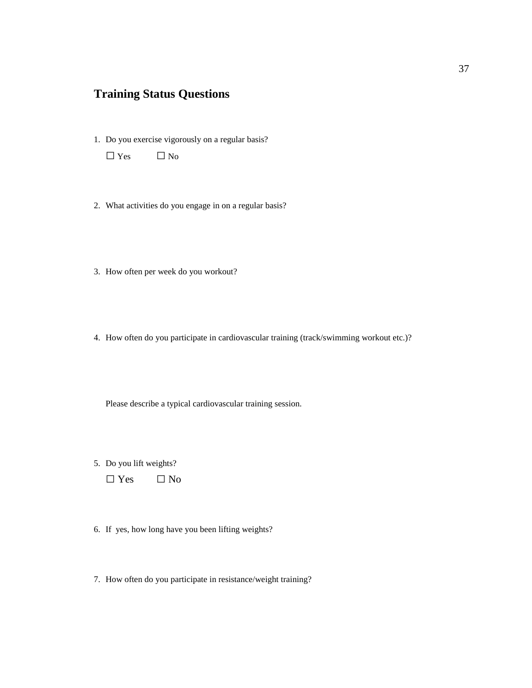## **Training Status Questions**

1. Do you exercise vigorously on a regular basis?

**□** Yes **□** No

- 2. What activities do you engage in on a regular basis?
- 3. How often per week do you workout?
- 4. How often do you participate in cardiovascular training (track/swimming workout etc.)?

Please describe a typical cardiovascular training session.

5. Do you lift weights?

 **□** Yes **□** No

- 6. If yes, how long have you been lifting weights?
- 7. How often do you participate in resistance/weight training?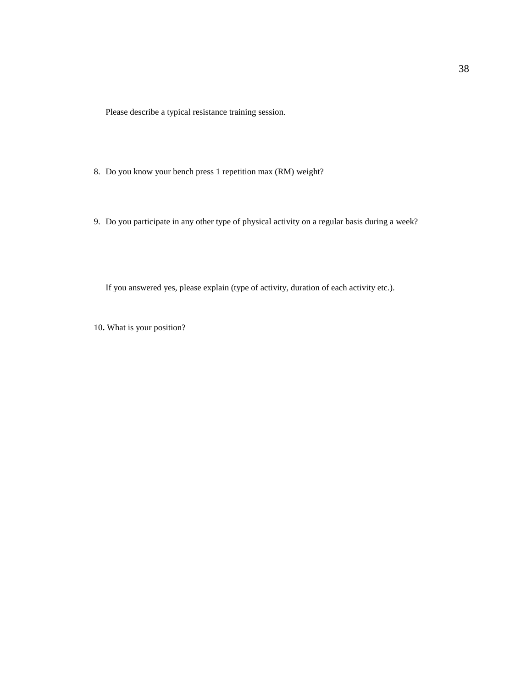Please describe a typical resistance training session.

- 8. Do you know your bench press 1 repetition max (RM) weight?
- 9. Do you participate in any other type of physical activity on a regular basis during a week?

If you answered yes, please explain (type of activity, duration of each activity etc.).

10**.** What is your position?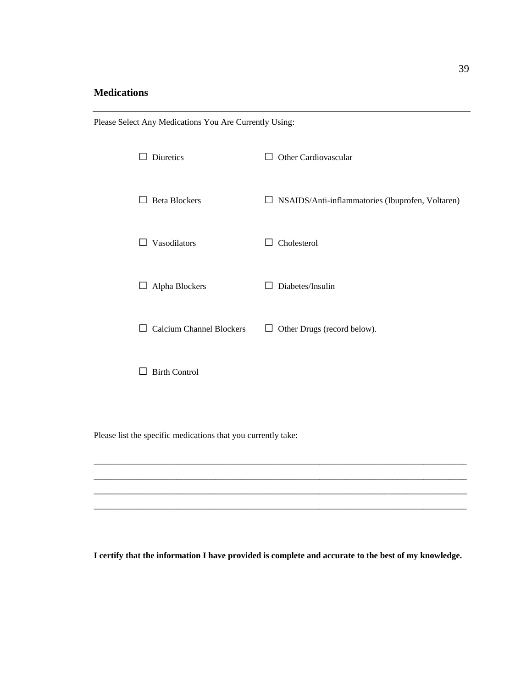## **Medications**

| Diuretics                                  | Other Cardiovascular<br>$\mathsf{I}$                    |
|--------------------------------------------|---------------------------------------------------------|
| <b>Beta Blockers</b>                       | $\Box$ NSAIDS/Anti-inflammatories (Ibuprofen, Voltaren) |
| Vasodilators                               | Cholesterol<br>$\mathbf{L}$                             |
| Alpha Blockers<br>ப                        | Diabetes/Insulin<br>$\mathbf{I}$                        |
| <b>Calcium Channel Blockers</b><br>$\perp$ | Other Drugs (record below).<br>⊔                        |
| <b>Birth Control</b>                       |                                                         |

Please list the specific medications that you currently take:

Please Select Any Medications You Are Currently Using:

**I certify that the information I have provided is complete and accurate to the best of my knowledge.**

\_\_\_\_\_\_\_\_\_\_\_\_\_\_\_\_\_\_\_\_\_\_\_\_\_\_\_\_\_\_\_\_\_\_\_\_\_\_\_\_\_\_\_\_\_\_\_\_\_\_\_\_\_\_\_\_\_\_\_\_\_\_\_\_\_\_\_\_\_\_\_\_\_\_\_\_\_\_\_\_\_\_\_\_\_\_ \_\_\_\_\_\_\_\_\_\_\_\_\_\_\_\_\_\_\_\_\_\_\_\_\_\_\_\_\_\_\_\_\_\_\_\_\_\_\_\_\_\_\_\_\_\_\_\_\_\_\_\_\_\_\_\_\_\_\_\_\_\_\_\_\_\_\_\_\_\_\_\_\_\_\_\_\_\_\_\_\_\_\_\_\_\_ \_\_\_\_\_\_\_\_\_\_\_\_\_\_\_\_\_\_\_\_\_\_\_\_\_\_\_\_\_\_\_\_\_\_\_\_\_\_\_\_\_\_\_\_\_\_\_\_\_\_\_\_\_\_\_\_\_\_\_\_\_\_\_\_\_\_\_\_\_\_\_\_\_\_\_\_\_\_\_\_\_\_\_\_\_\_ \_\_\_\_\_\_\_\_\_\_\_\_\_\_\_\_\_\_\_\_\_\_\_\_\_\_\_\_\_\_\_\_\_\_\_\_\_\_\_\_\_\_\_\_\_\_\_\_\_\_\_\_\_\_\_\_\_\_\_\_\_\_\_\_\_\_\_\_\_\_\_\_\_\_\_\_\_\_\_\_\_\_\_\_\_\_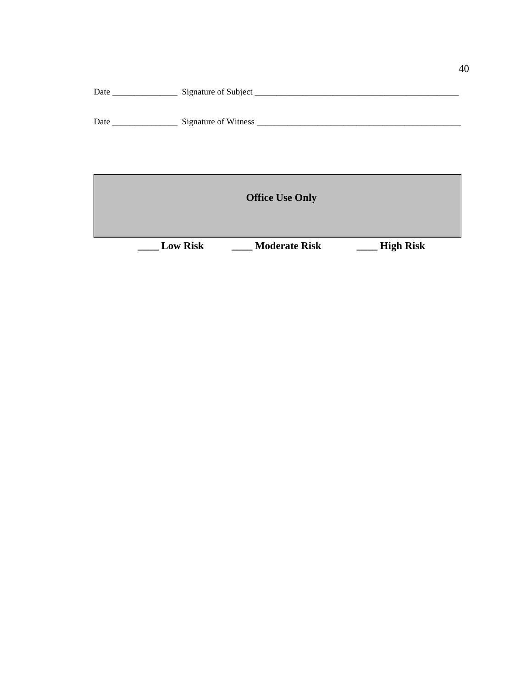| <b>Office Use Only</b> |                 |                      |                  |  |  |  |  |  |
|------------------------|-----------------|----------------------|------------------|--|--|--|--|--|
|                        | <b>Low Risk</b> | <b>Moderate Risk</b> | <b>High Risk</b> |  |  |  |  |  |

Date \_\_\_\_\_\_\_\_\_\_\_\_\_\_\_ Signature of Subject \_\_\_\_\_\_\_\_\_\_\_\_\_\_\_\_\_\_\_\_\_\_\_\_\_\_\_\_\_\_\_\_\_\_\_\_\_\_\_\_\_\_\_\_\_\_\_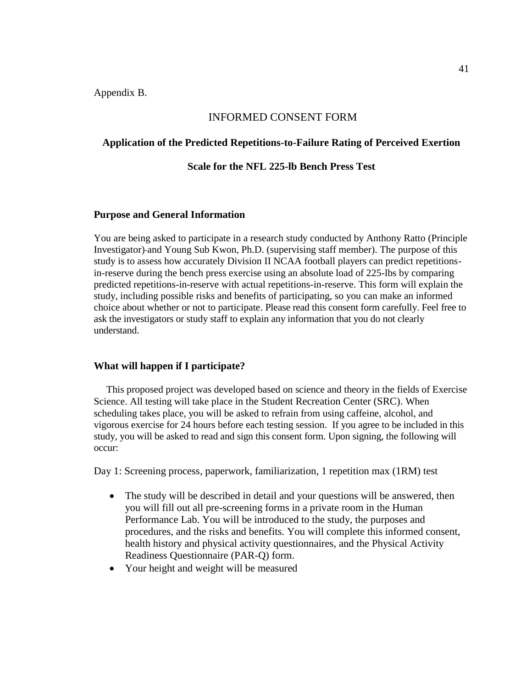Appendix B.

## INFORMED CONSENT FORM

## **Application of the Predicted Repetitions-to-Failure Rating of Perceived Exertion**

### **Scale for the NFL 225-lb Bench Press Test**

## **Purpose and General Information**

You are being asked to participate in a research study conducted by Anthony Ratto (Principle Investigator) and Young Sub Kwon, Ph.D. (supervising staff member). The purpose of this study is to assess how accurately Division II NCAA football players can predict repetitionsin-reserve during the bench press exercise using an absolute load of 225-lbs by comparing predicted repetitions-in-reserve with actual repetitions-in-reserve. This form will explain the study, including possible risks and benefits of participating, so you can make an informed choice about whether or not to participate. Please read this consent form carefully. Feel free to ask the investigators or study staff to explain any information that you do not clearly understand.

#### **What will happen if I participate?**

 This proposed project was developed based on science and theory in the fields of Exercise Science. All testing will take place in the Student Recreation Center (SRC). When scheduling takes place, you will be asked to refrain from using caffeine, alcohol, and vigorous exercise for 24 hours before each testing session. If you agree to be included in this study, you will be asked to read and sign this consent form. Upon signing, the following will occur:

Day 1: Screening process, paperwork, familiarization, 1 repetition max (1RM) test

- The study will be described in detail and your questions will be answered, then you will fill out all pre-screening forms in a private room in the Human Performance Lab. You will be introduced to the study, the purposes and procedures, and the risks and benefits. You will complete this informed consent, health history and physical activity questionnaires, and the Physical Activity Readiness Questionnaire (PAR-Q) form.
- Your height and weight will be measured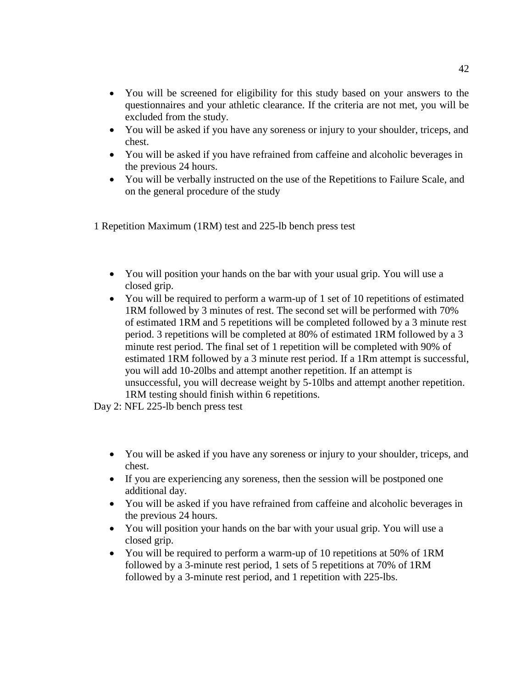- You will be screened for eligibility for this study based on your answers to the questionnaires and your athletic clearance. If the criteria are not met, you will be excluded from the study.
- You will be asked if you have any soreness or injury to your shoulder, triceps, and chest.
- You will be asked if you have refrained from caffeine and alcoholic beverages in the previous 24 hours.
- You will be verbally instructed on the use of the Repetitions to Failure Scale, and on the general procedure of the study

1 Repetition Maximum (1RM) test and 225-lb bench press test

- You will position your hands on the bar with your usual grip. You will use a closed grip.
- You will be required to perform a warm-up of 1 set of 10 repetitions of estimated 1RM followed by 3 minutes of rest. The second set will be performed with 70% of estimated 1RM and 5 repetitions will be completed followed by a 3 minute rest period. 3 repetitions will be completed at 80% of estimated 1RM followed by a 3 minute rest period. The final set of 1 repetition will be completed with 90% of estimated 1RM followed by a 3 minute rest period. If a 1Rm attempt is successful, you will add 10-20lbs and attempt another repetition. If an attempt is unsuccessful, you will decrease weight by 5-10lbs and attempt another repetition. 1RM testing should finish within 6 repetitions.

Day 2: NFL 225-lb bench press test

- You will be asked if you have any soreness or injury to your shoulder, triceps, and chest.
- If you are experiencing any soreness, then the session will be postponed one additional day.
- You will be asked if you have refrained from caffeine and alcoholic beverages in the previous 24 hours.
- You will position your hands on the bar with your usual grip. You will use a closed grip.
- You will be required to perform a warm-up of 10 repetitions at 50% of 1RM followed by a 3-minute rest period, 1 sets of 5 repetitions at 70% of 1RM followed by a 3-minute rest period, and 1 repetition with 225-lbs.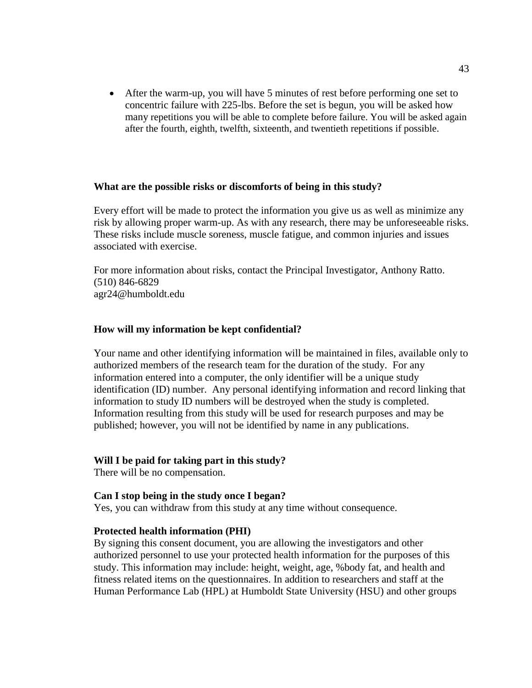• After the warm-up, you will have 5 minutes of rest before performing one set to concentric failure with 225-lbs. Before the set is begun, you will be asked how many repetitions you will be able to complete before failure. You will be asked again after the fourth, eighth, twelfth, sixteenth, and twentieth repetitions if possible.

## **What are the possible risks or discomforts of being in this study?**

Every effort will be made to protect the information you give us as well as minimize any risk by allowing proper warm-up. As with any research, there may be unforeseeable risks. These risks include muscle soreness, muscle fatigue, and common injuries and issues associated with exercise.

For more information about risks, contact the Principal Investigator, Anthony Ratto. (510) 846-6829 agr24@humboldt.edu

## **How will my information be kept confidential?**

Your name and other identifying information will be maintained in files, available only to authorized members of the research team for the duration of the study. For any information entered into a computer, the only identifier will be a unique study identification (ID) number. Any personal identifying information and record linking that information to study ID numbers will be destroyed when the study is completed. Information resulting from this study will be used for research purposes and may be published; however, you will not be identified by name in any publications.

## **Will I be paid for taking part in this study?**

There will be no compensation.

#### **Can I stop being in the study once I began?**

Yes, you can withdraw from this study at any time without consequence.

#### **Protected health information (PHI)**

By signing this consent document, you are allowing the investigators and other authorized personnel to use your protected health information for the purposes of this study. This information may include: height, weight, age, %body fat, and health and fitness related items on the questionnaires. In addition to researchers and staff at the Human Performance Lab (HPL) at Humboldt State University (HSU) and other groups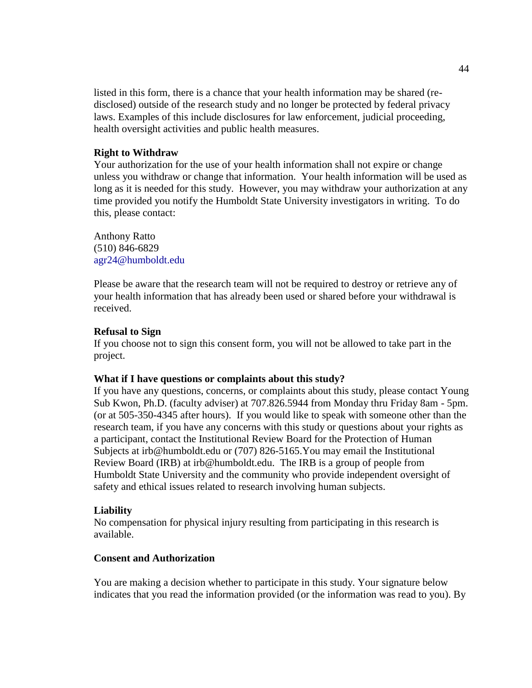listed in this form, there is a chance that your health information may be shared (redisclosed) outside of the research study and no longer be protected by federal privacy laws. Examples of this include disclosures for law enforcement, judicial proceeding, health oversight activities and public health measures.

## **Right to Withdraw**

Your authorization for the use of your health information shall not expire or change unless you withdraw or change that information. Your health information will be used as long as it is needed for this study. However, you may withdraw your authorization at any time provided you notify the Humboldt State University investigators in writing. To do this, please contact:

Anthony Ratto (510) 846-6829 agr24@humboldt.edu

Please be aware that the research team will not be required to destroy or retrieve any of your health information that has already been used or shared before your withdrawal is received.

### **Refusal to Sign**

If you choose not to sign this consent form, you will not be allowed to take part in the project.

## **What if I have questions or complaints about this study?**

If you have any questions, concerns, or complaints about this study, please contact Young Sub Kwon, Ph.D. (faculty adviser) at 707.826.5944 from Monday thru Friday 8am - 5pm. (or at 505-350-4345 after hours). If you would like to speak with someone other than the research team, if you have any concerns with this study or questions about your rights as a participant, contact the Institutional Review Board for the Protection of Human Subjects at irb@humboldt.edu or (707) 826-5165.You may email the Institutional Review Board (IRB) at irb@humboldt.edu. The IRB is a group of people from Humboldt State University and the community who provide independent oversight of safety and ethical issues related to research involving human subjects.

#### **Liability**

No compensation for physical injury resulting from participating in this research is available.

## **Consent and Authorization**

You are making a decision whether to participate in this study. Your signature below indicates that you read the information provided (or the information was read to you). By